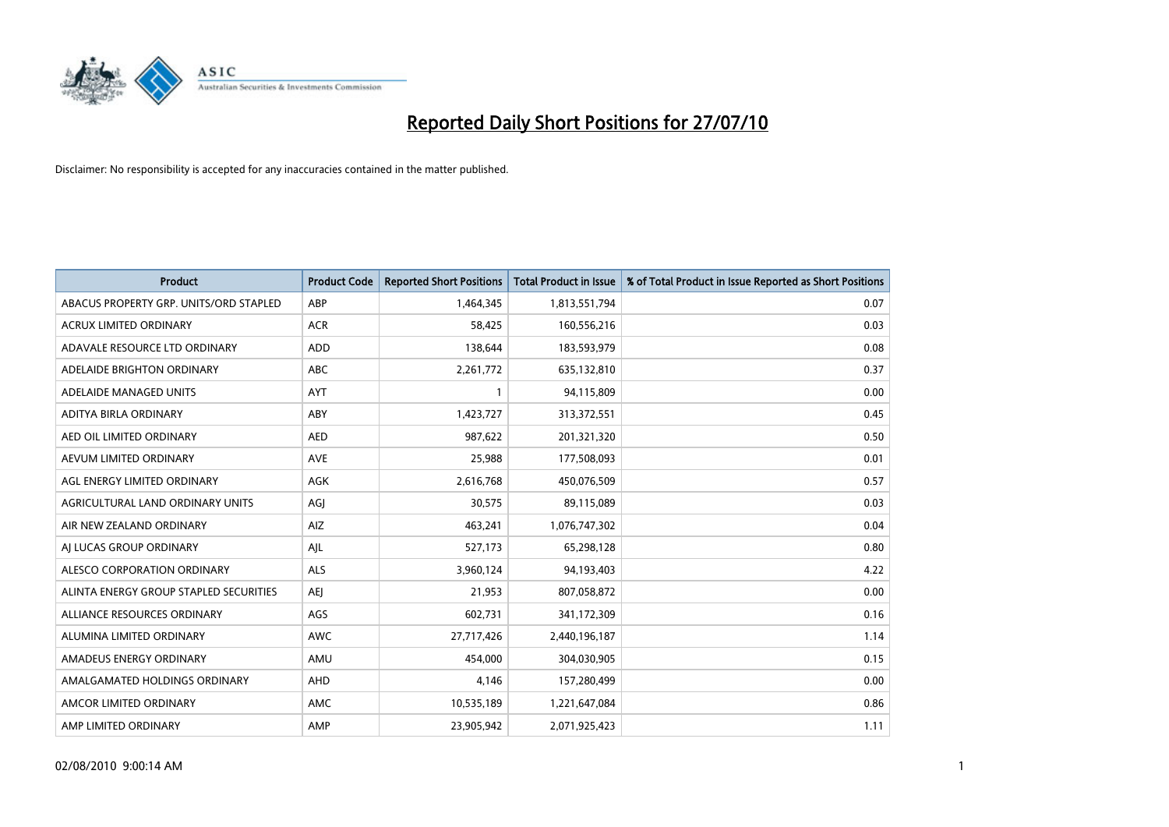

| <b>Product</b>                         | <b>Product Code</b> | <b>Reported Short Positions</b> | Total Product in Issue | % of Total Product in Issue Reported as Short Positions |
|----------------------------------------|---------------------|---------------------------------|------------------------|---------------------------------------------------------|
| ABACUS PROPERTY GRP. UNITS/ORD STAPLED | ABP                 | 1,464,345                       | 1,813,551,794          | 0.07                                                    |
| ACRUX LIMITED ORDINARY                 | <b>ACR</b>          | 58,425                          | 160,556,216            | 0.03                                                    |
| ADAVALE RESOURCE LTD ORDINARY          | ADD                 | 138,644                         | 183,593,979            | 0.08                                                    |
| ADELAIDE BRIGHTON ORDINARY             | <b>ABC</b>          | 2,261,772                       | 635,132,810            | 0.37                                                    |
| ADELAIDE MANAGED UNITS                 | <b>AYT</b>          |                                 | 94,115,809             | 0.00                                                    |
| ADITYA BIRLA ORDINARY                  | ABY                 | 1,423,727                       | 313,372,551            | 0.45                                                    |
| AED OIL LIMITED ORDINARY               | <b>AED</b>          | 987,622                         | 201,321,320            | 0.50                                                    |
| AEVUM LIMITED ORDINARY                 | <b>AVE</b>          | 25,988                          | 177,508,093            | 0.01                                                    |
| AGL ENERGY LIMITED ORDINARY            | <b>AGK</b>          | 2,616,768                       | 450,076,509            | 0.57                                                    |
| AGRICULTURAL LAND ORDINARY UNITS       | AGI                 | 30,575                          | 89,115,089             | 0.03                                                    |
| AIR NEW ZEALAND ORDINARY               | AIZ                 | 463,241                         | 1,076,747,302          | 0.04                                                    |
| AI LUCAS GROUP ORDINARY                | AJL                 | 527,173                         | 65,298,128             | 0.80                                                    |
| ALESCO CORPORATION ORDINARY            | <b>ALS</b>          | 3,960,124                       | 94,193,403             | 4.22                                                    |
| ALINTA ENERGY GROUP STAPLED SECURITIES | <b>AEI</b>          | 21,953                          | 807,058,872            | 0.00                                                    |
| ALLIANCE RESOURCES ORDINARY            | AGS                 | 602,731                         | 341,172,309            | 0.16                                                    |
| ALUMINA LIMITED ORDINARY               | <b>AWC</b>          | 27,717,426                      | 2,440,196,187          | 1.14                                                    |
| AMADEUS ENERGY ORDINARY                | AMU                 | 454,000                         | 304,030,905            | 0.15                                                    |
| AMALGAMATED HOLDINGS ORDINARY          | AHD                 | 4,146                           | 157,280,499            | 0.00                                                    |
| AMCOR LIMITED ORDINARY                 | <b>AMC</b>          | 10,535,189                      | 1,221,647,084          | 0.86                                                    |
| AMP LIMITED ORDINARY                   | AMP                 | 23,905,942                      | 2,071,925,423          | 1.11                                                    |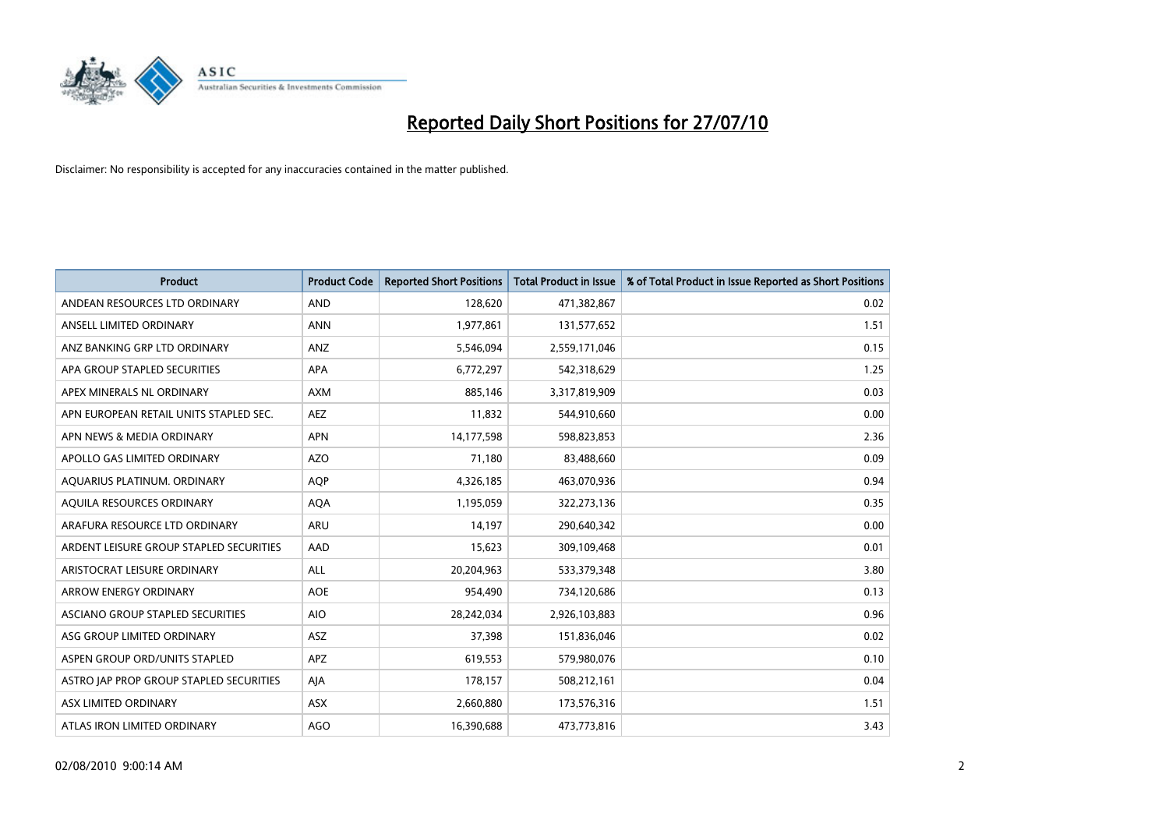

| <b>Product</b>                          | <b>Product Code</b> | <b>Reported Short Positions</b> | <b>Total Product in Issue</b> | % of Total Product in Issue Reported as Short Positions |
|-----------------------------------------|---------------------|---------------------------------|-------------------------------|---------------------------------------------------------|
| ANDEAN RESOURCES LTD ORDINARY           | <b>AND</b>          | 128,620                         | 471,382,867                   | 0.02                                                    |
| ANSELL LIMITED ORDINARY                 | <b>ANN</b>          | 1,977,861                       | 131,577,652                   | 1.51                                                    |
| ANZ BANKING GRP LTD ORDINARY            | ANZ                 | 5,546,094                       | 2,559,171,046                 | 0.15                                                    |
| APA GROUP STAPLED SECURITIES            | <b>APA</b>          | 6,772,297                       | 542,318,629                   | 1.25                                                    |
| APEX MINERALS NL ORDINARY               | <b>AXM</b>          | 885,146                         | 3,317,819,909                 | 0.03                                                    |
| APN EUROPEAN RETAIL UNITS STAPLED SEC.  | <b>AEZ</b>          | 11,832                          | 544,910,660                   | 0.00                                                    |
| APN NEWS & MEDIA ORDINARY               | <b>APN</b>          | 14,177,598                      | 598,823,853                   | 2.36                                                    |
| APOLLO GAS LIMITED ORDINARY             | <b>AZO</b>          | 71,180                          | 83,488,660                    | 0.09                                                    |
| AQUARIUS PLATINUM. ORDINARY             | <b>AQP</b>          | 4,326,185                       | 463,070,936                   | 0.94                                                    |
| AQUILA RESOURCES ORDINARY               | <b>AQA</b>          | 1,195,059                       | 322,273,136                   | 0.35                                                    |
| ARAFURA RESOURCE LTD ORDINARY           | <b>ARU</b>          | 14,197                          | 290,640,342                   | 0.00                                                    |
| ARDENT LEISURE GROUP STAPLED SECURITIES | AAD                 | 15,623                          | 309,109,468                   | 0.01                                                    |
| ARISTOCRAT LEISURE ORDINARY             | ALL                 | 20,204,963                      | 533,379,348                   | 3.80                                                    |
| <b>ARROW ENERGY ORDINARY</b>            | <b>AOE</b>          | 954,490                         | 734,120,686                   | 0.13                                                    |
| ASCIANO GROUP STAPLED SECURITIES        | <b>AIO</b>          | 28,242,034                      | 2,926,103,883                 | 0.96                                                    |
| ASG GROUP LIMITED ORDINARY              | <b>ASZ</b>          | 37,398                          | 151,836,046                   | 0.02                                                    |
| ASPEN GROUP ORD/UNITS STAPLED           | <b>APZ</b>          | 619,553                         | 579,980,076                   | 0.10                                                    |
| ASTRO JAP PROP GROUP STAPLED SECURITIES | AJA                 | 178,157                         | 508,212,161                   | 0.04                                                    |
| ASX LIMITED ORDINARY                    | <b>ASX</b>          | 2,660,880                       | 173,576,316                   | 1.51                                                    |
| ATLAS IRON LIMITED ORDINARY             | <b>AGO</b>          | 16,390,688                      | 473,773,816                   | 3.43                                                    |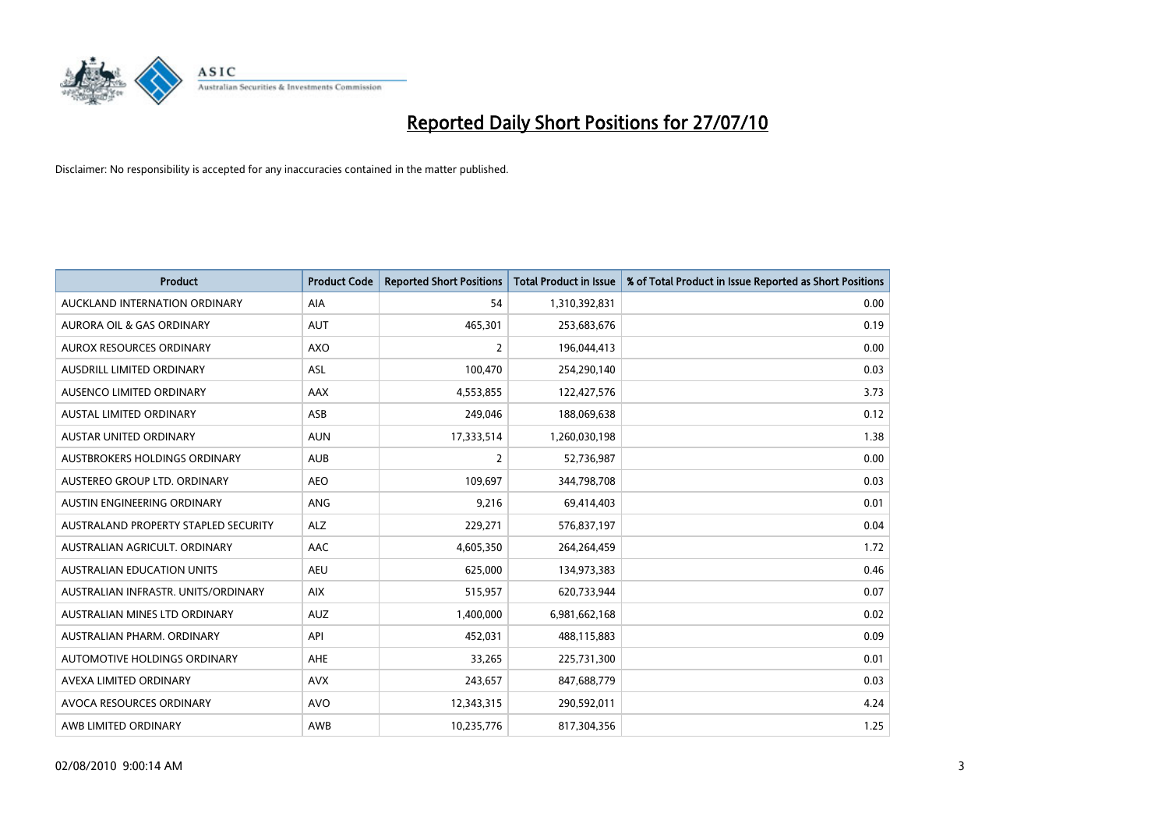

| <b>Product</b>                       | <b>Product Code</b> | <b>Reported Short Positions</b> | <b>Total Product in Issue</b> | % of Total Product in Issue Reported as Short Positions |
|--------------------------------------|---------------------|---------------------------------|-------------------------------|---------------------------------------------------------|
| AUCKLAND INTERNATION ORDINARY        | <b>AIA</b>          | 54                              | 1,310,392,831                 | 0.00                                                    |
| AURORA OIL & GAS ORDINARY            | <b>AUT</b>          | 465,301                         | 253,683,676                   | 0.19                                                    |
| AUROX RESOURCES ORDINARY             | AXO                 | $\overline{2}$                  | 196,044,413                   | 0.00                                                    |
| AUSDRILL LIMITED ORDINARY            | <b>ASL</b>          | 100,470                         | 254,290,140                   | 0.03                                                    |
| AUSENCO LIMITED ORDINARY             | AAX                 | 4,553,855                       | 122,427,576                   | 3.73                                                    |
| <b>AUSTAL LIMITED ORDINARY</b>       | ASB                 | 249,046                         | 188,069,638                   | 0.12                                                    |
| AUSTAR UNITED ORDINARY               | <b>AUN</b>          | 17,333,514                      | 1,260,030,198                 | 1.38                                                    |
| AUSTBROKERS HOLDINGS ORDINARY        | <b>AUB</b>          | $\overline{2}$                  | 52,736,987                    | 0.00                                                    |
| AUSTEREO GROUP LTD. ORDINARY         | <b>AEO</b>          | 109,697                         | 344,798,708                   | 0.03                                                    |
| AUSTIN ENGINEERING ORDINARY          | ANG                 | 9,216                           | 69,414,403                    | 0.01                                                    |
| AUSTRALAND PROPERTY STAPLED SECURITY | <b>ALZ</b>          | 229,271                         | 576,837,197                   | 0.04                                                    |
| AUSTRALIAN AGRICULT, ORDINARY        | AAC                 | 4,605,350                       | 264,264,459                   | 1.72                                                    |
| <b>AUSTRALIAN EDUCATION UNITS</b>    | <b>AEU</b>          | 625,000                         | 134,973,383                   | 0.46                                                    |
| AUSTRALIAN INFRASTR. UNITS/ORDINARY  | <b>AIX</b>          | 515,957                         | 620,733,944                   | 0.07                                                    |
| AUSTRALIAN MINES LTD ORDINARY        | <b>AUZ</b>          | 1,400,000                       | 6,981,662,168                 | 0.02                                                    |
| AUSTRALIAN PHARM. ORDINARY           | API                 | 452,031                         | 488,115,883                   | 0.09                                                    |
| AUTOMOTIVE HOLDINGS ORDINARY         | AHE                 | 33,265                          | 225,731,300                   | 0.01                                                    |
| AVEXA LIMITED ORDINARY               | <b>AVX</b>          | 243,657                         | 847,688,779                   | 0.03                                                    |
| AVOCA RESOURCES ORDINARY             | <b>AVO</b>          | 12,343,315                      | 290,592,011                   | 4.24                                                    |
| AWB LIMITED ORDINARY                 | AWB                 | 10,235,776                      | 817,304,356                   | 1.25                                                    |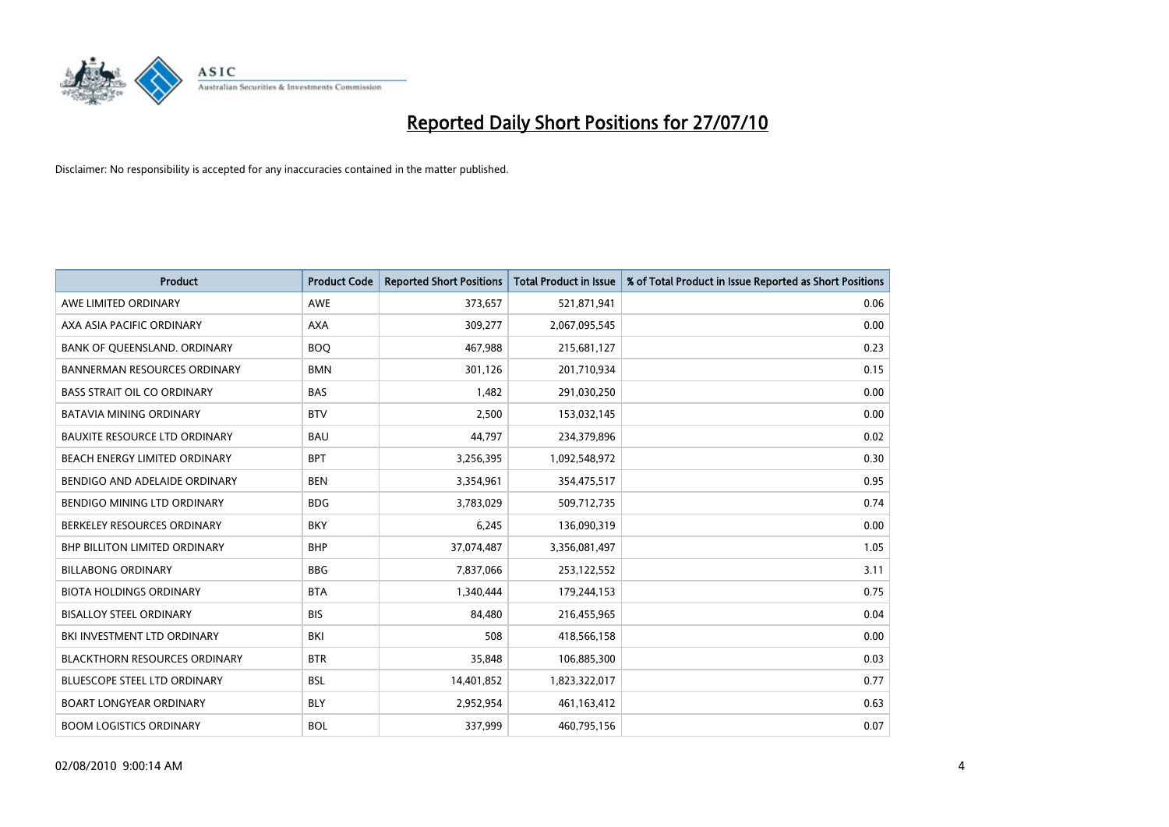

| <b>Product</b>                       | <b>Product Code</b> | <b>Reported Short Positions</b> | <b>Total Product in Issue</b> | % of Total Product in Issue Reported as Short Positions |
|--------------------------------------|---------------------|---------------------------------|-------------------------------|---------------------------------------------------------|
| AWE LIMITED ORDINARY                 | <b>AWE</b>          | 373,657                         | 521,871,941                   | 0.06                                                    |
| AXA ASIA PACIFIC ORDINARY            | <b>AXA</b>          | 309,277                         | 2,067,095,545                 | 0.00                                                    |
| BANK OF QUEENSLAND. ORDINARY         | <b>BOO</b>          | 467,988                         | 215,681,127                   | 0.23                                                    |
| BANNERMAN RESOURCES ORDINARY         | <b>BMN</b>          | 301,126                         | 201,710,934                   | 0.15                                                    |
| <b>BASS STRAIT OIL CO ORDINARY</b>   | <b>BAS</b>          | 1,482                           | 291,030,250                   | 0.00                                                    |
| <b>BATAVIA MINING ORDINARY</b>       | <b>BTV</b>          | 2,500                           | 153,032,145                   | 0.00                                                    |
| <b>BAUXITE RESOURCE LTD ORDINARY</b> | <b>BAU</b>          | 44,797                          | 234,379,896                   | 0.02                                                    |
| BEACH ENERGY LIMITED ORDINARY        | <b>BPT</b>          | 3,256,395                       | 1,092,548,972                 | 0.30                                                    |
| BENDIGO AND ADELAIDE ORDINARY        | <b>BEN</b>          | 3,354,961                       | 354,475,517                   | 0.95                                                    |
| <b>BENDIGO MINING LTD ORDINARY</b>   | <b>BDG</b>          | 3,783,029                       | 509,712,735                   | 0.74                                                    |
| BERKELEY RESOURCES ORDINARY          | <b>BKY</b>          | 6,245                           | 136,090,319                   | 0.00                                                    |
| <b>BHP BILLITON LIMITED ORDINARY</b> | <b>BHP</b>          | 37,074,487                      | 3,356,081,497                 | 1.05                                                    |
| <b>BILLABONG ORDINARY</b>            | <b>BBG</b>          | 7,837,066                       | 253,122,552                   | 3.11                                                    |
| <b>BIOTA HOLDINGS ORDINARY</b>       | <b>BTA</b>          | 1,340,444                       | 179,244,153                   | 0.75                                                    |
| <b>BISALLOY STEEL ORDINARY</b>       | <b>BIS</b>          | 84.480                          | 216,455,965                   | 0.04                                                    |
| BKI INVESTMENT LTD ORDINARY          | BKI                 | 508                             | 418,566,158                   | 0.00                                                    |
| <b>BLACKTHORN RESOURCES ORDINARY</b> | <b>BTR</b>          | 35,848                          | 106,885,300                   | 0.03                                                    |
| BLUESCOPE STEEL LTD ORDINARY         | <b>BSL</b>          | 14,401,852                      | 1,823,322,017                 | 0.77                                                    |
| <b>BOART LONGYEAR ORDINARY</b>       | <b>BLY</b>          | 2,952,954                       | 461,163,412                   | 0.63                                                    |
| <b>BOOM LOGISTICS ORDINARY</b>       | <b>BOL</b>          | 337,999                         | 460,795,156                   | 0.07                                                    |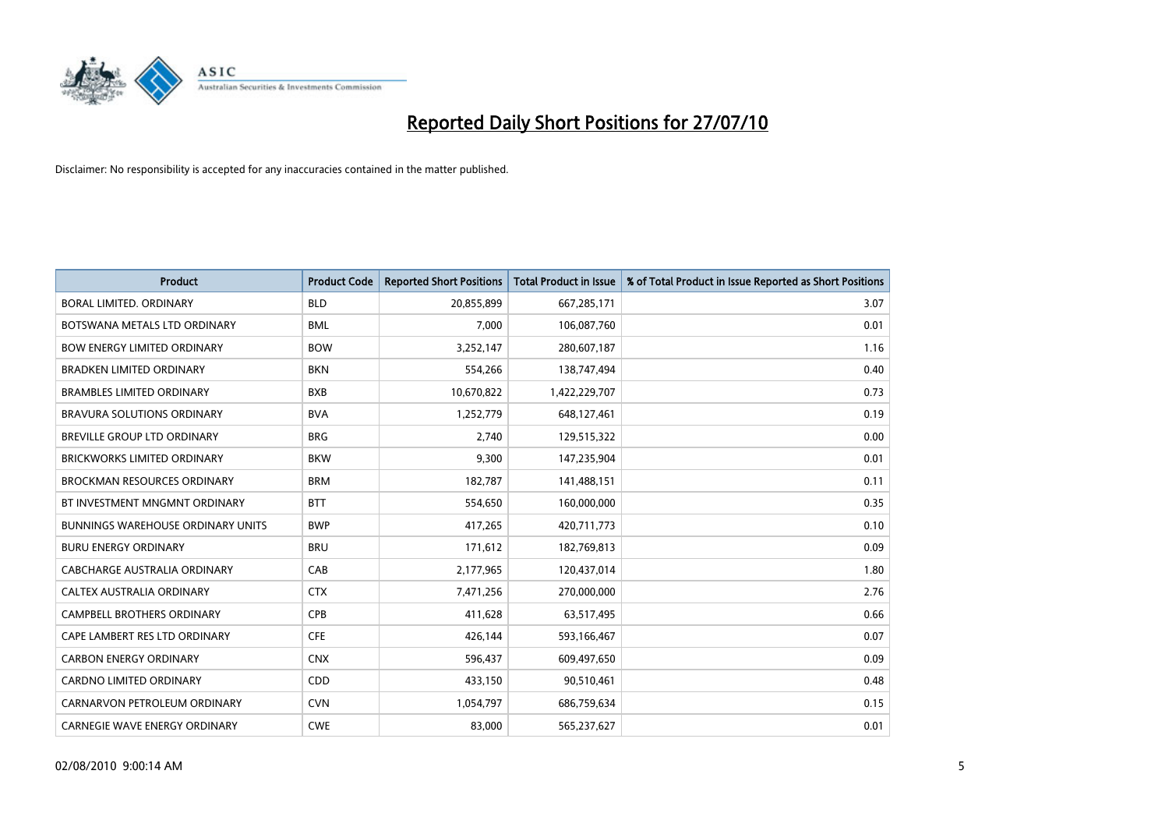

| <b>Product</b>                           | <b>Product Code</b> | <b>Reported Short Positions</b> | Total Product in Issue | % of Total Product in Issue Reported as Short Positions |
|------------------------------------------|---------------------|---------------------------------|------------------------|---------------------------------------------------------|
| BORAL LIMITED, ORDINARY                  | <b>BLD</b>          | 20,855,899                      | 667,285,171            | 3.07                                                    |
| BOTSWANA METALS LTD ORDINARY             | <b>BML</b>          | 7,000                           | 106,087,760            | 0.01                                                    |
| <b>BOW ENERGY LIMITED ORDINARY</b>       | <b>BOW</b>          | 3,252,147                       | 280,607,187            | 1.16                                                    |
| <b>BRADKEN LIMITED ORDINARY</b>          | <b>BKN</b>          | 554,266                         | 138,747,494            | 0.40                                                    |
| <b>BRAMBLES LIMITED ORDINARY</b>         | <b>BXB</b>          | 10,670,822                      | 1,422,229,707          | 0.73                                                    |
| <b>BRAVURA SOLUTIONS ORDINARY</b>        | <b>BVA</b>          | 1,252,779                       | 648,127,461            | 0.19                                                    |
| BREVILLE GROUP LTD ORDINARY              | <b>BRG</b>          | 2,740                           | 129,515,322            | 0.00                                                    |
| <b>BRICKWORKS LIMITED ORDINARY</b>       | <b>BKW</b>          | 9,300                           | 147,235,904            | 0.01                                                    |
| <b>BROCKMAN RESOURCES ORDINARY</b>       | <b>BRM</b>          | 182,787                         | 141,488,151            | 0.11                                                    |
| BT INVESTMENT MNGMNT ORDINARY            | <b>BTT</b>          | 554,650                         | 160,000,000            | 0.35                                                    |
| <b>BUNNINGS WAREHOUSE ORDINARY UNITS</b> | <b>BWP</b>          | 417,265                         | 420,711,773            | 0.10                                                    |
| <b>BURU ENERGY ORDINARY</b>              | <b>BRU</b>          | 171,612                         | 182,769,813            | 0.09                                                    |
| CABCHARGE AUSTRALIA ORDINARY             | CAB                 | 2,177,965                       | 120,437,014            | 1.80                                                    |
| <b>CALTEX AUSTRALIA ORDINARY</b>         | <b>CTX</b>          | 7,471,256                       | 270,000,000            | 2.76                                                    |
| <b>CAMPBELL BROTHERS ORDINARY</b>        | CPB                 | 411,628                         | 63,517,495             | 0.66                                                    |
| CAPE LAMBERT RES LTD ORDINARY            | <b>CFE</b>          | 426,144                         | 593,166,467            | 0.07                                                    |
| <b>CARBON ENERGY ORDINARY</b>            | <b>CNX</b>          | 596,437                         | 609,497,650            | 0.09                                                    |
| CARDNO LIMITED ORDINARY                  | CDD                 | 433,150                         | 90,510,461             | 0.48                                                    |
| CARNARVON PETROLEUM ORDINARY             | <b>CVN</b>          | 1,054,797                       | 686,759,634            | 0.15                                                    |
| CARNEGIE WAVE ENERGY ORDINARY            | <b>CWE</b>          | 83,000                          | 565,237,627            | 0.01                                                    |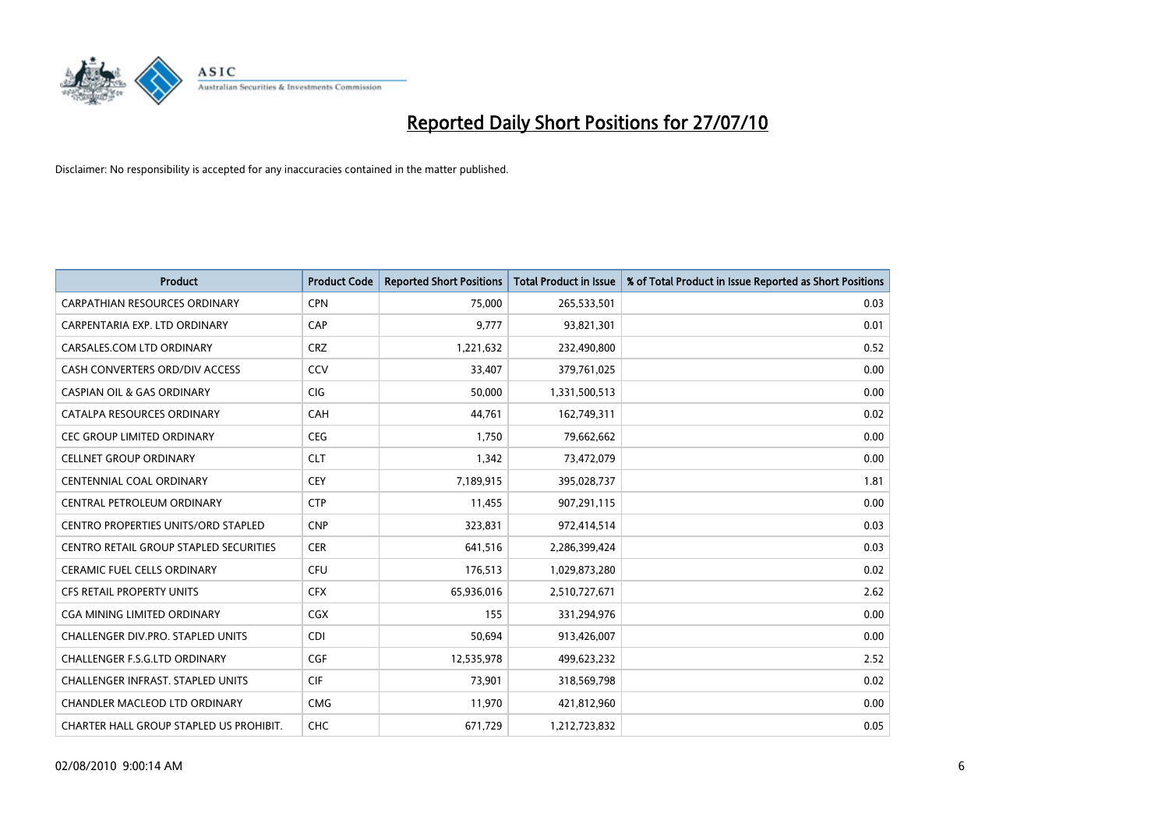

| <b>Product</b>                                | <b>Product Code</b> | <b>Reported Short Positions</b> | <b>Total Product in Issue</b> | % of Total Product in Issue Reported as Short Positions |
|-----------------------------------------------|---------------------|---------------------------------|-------------------------------|---------------------------------------------------------|
| <b>CARPATHIAN RESOURCES ORDINARY</b>          | <b>CPN</b>          | 75.000                          | 265,533,501                   | 0.03                                                    |
| CARPENTARIA EXP. LTD ORDINARY                 | CAP                 | 9,777                           | 93,821,301                    | 0.01                                                    |
| CARSALES.COM LTD ORDINARY                     | <b>CRZ</b>          | 1,221,632                       | 232,490,800                   | 0.52                                                    |
| CASH CONVERTERS ORD/DIV ACCESS                | CCV                 | 33,407                          | 379,761,025                   | 0.00                                                    |
| <b>CASPIAN OIL &amp; GAS ORDINARY</b>         | <b>CIG</b>          | 50,000                          | 1,331,500,513                 | 0.00                                                    |
| CATALPA RESOURCES ORDINARY                    | CAH                 | 44,761                          | 162,749,311                   | 0.02                                                    |
| <b>CEC GROUP LIMITED ORDINARY</b>             | <b>CEG</b>          | 1,750                           | 79,662,662                    | 0.00                                                    |
| <b>CELLNET GROUP ORDINARY</b>                 | <b>CLT</b>          | 1,342                           | 73,472,079                    | 0.00                                                    |
| <b>CENTENNIAL COAL ORDINARY</b>               | <b>CEY</b>          | 7,189,915                       | 395,028,737                   | 1.81                                                    |
| CENTRAL PETROLEUM ORDINARY                    | <b>CTP</b>          | 11,455                          | 907,291,115                   | 0.00                                                    |
| CENTRO PROPERTIES UNITS/ORD STAPLED           | <b>CNP</b>          | 323,831                         | 972,414,514                   | 0.03                                                    |
| <b>CENTRO RETAIL GROUP STAPLED SECURITIES</b> | <b>CER</b>          | 641,516                         | 2,286,399,424                 | 0.03                                                    |
| <b>CERAMIC FUEL CELLS ORDINARY</b>            | <b>CFU</b>          | 176,513                         | 1,029,873,280                 | 0.02                                                    |
| <b>CFS RETAIL PROPERTY UNITS</b>              | <b>CFX</b>          | 65,936,016                      | 2,510,727,671                 | 2.62                                                    |
| <b>CGA MINING LIMITED ORDINARY</b>            | CGX                 | 155                             | 331,294,976                   | 0.00                                                    |
| <b>CHALLENGER DIV.PRO. STAPLED UNITS</b>      | <b>CDI</b>          | 50,694                          | 913,426,007                   | 0.00                                                    |
| CHALLENGER F.S.G.LTD ORDINARY                 | <b>CGF</b>          | 12,535,978                      | 499,623,232                   | 2.52                                                    |
| CHALLENGER INFRAST. STAPLED UNITS             | <b>CIF</b>          | 73,901                          | 318,569,798                   | 0.02                                                    |
| <b>CHANDLER MACLEOD LTD ORDINARY</b>          | <b>CMG</b>          | 11,970                          | 421,812,960                   | 0.00                                                    |
| CHARTER HALL GROUP STAPLED US PROHIBIT.       | <b>CHC</b>          | 671,729                         | 1,212,723,832                 | 0.05                                                    |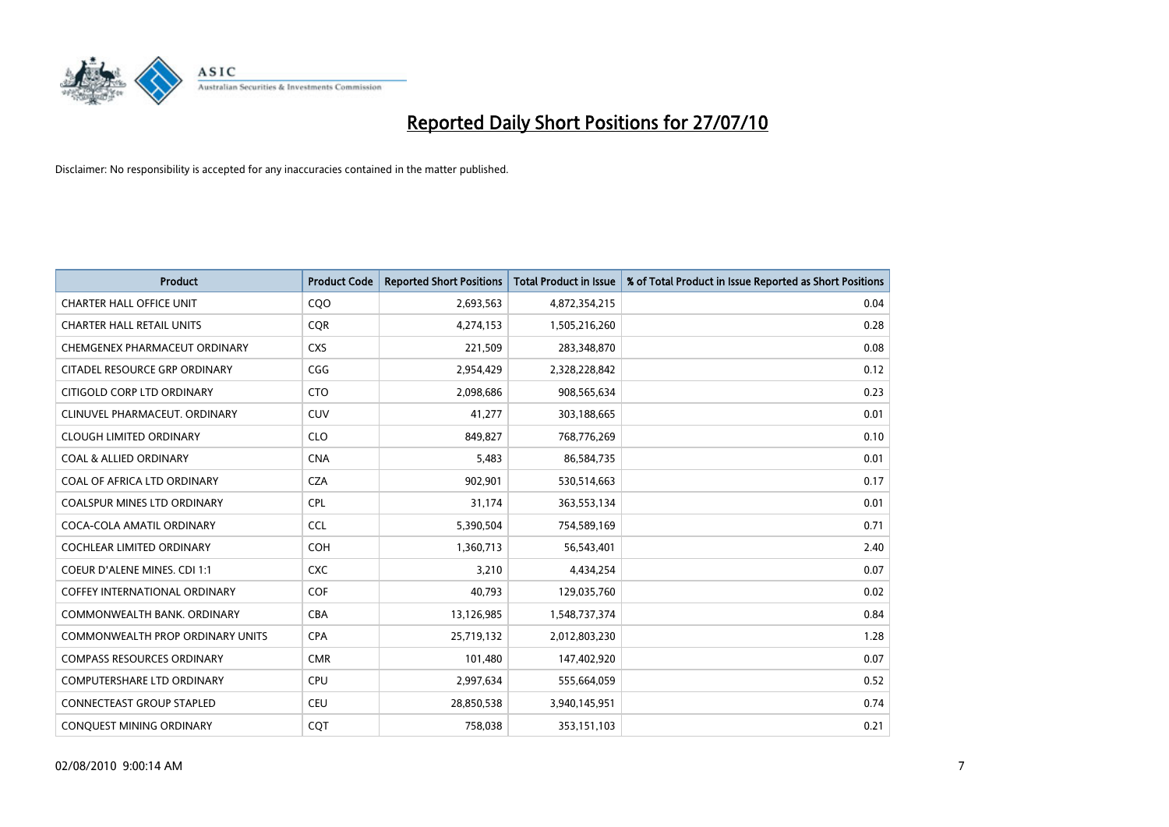

| <b>Product</b>                          | <b>Product Code</b> | <b>Reported Short Positions</b> | Total Product in Issue | % of Total Product in Issue Reported as Short Positions |
|-----------------------------------------|---------------------|---------------------------------|------------------------|---------------------------------------------------------|
| <b>CHARTER HALL OFFICE UNIT</b>         | CQO                 | 2,693,563                       | 4,872,354,215          | 0.04                                                    |
| <b>CHARTER HALL RETAIL UNITS</b>        | <b>COR</b>          | 4,274,153                       | 1,505,216,260          | 0.28                                                    |
| CHEMGENEX PHARMACEUT ORDINARY           | <b>CXS</b>          | 221,509                         | 283,348,870            | 0.08                                                    |
| CITADEL RESOURCE GRP ORDINARY           | CGG                 | 2,954,429                       | 2,328,228,842          | 0.12                                                    |
| CITIGOLD CORP LTD ORDINARY              | <b>CTO</b>          | 2,098,686                       | 908,565,634            | 0.23                                                    |
| CLINUVEL PHARMACEUT, ORDINARY           | CUV                 | 41,277                          | 303,188,665            | 0.01                                                    |
| <b>CLOUGH LIMITED ORDINARY</b>          | <b>CLO</b>          | 849,827                         | 768,776,269            | 0.10                                                    |
| <b>COAL &amp; ALLIED ORDINARY</b>       | <b>CNA</b>          | 5,483                           | 86,584,735             | 0.01                                                    |
| COAL OF AFRICA LTD ORDINARY             | <b>CZA</b>          | 902,901                         | 530,514,663            | 0.17                                                    |
| <b>COALSPUR MINES LTD ORDINARY</b>      | <b>CPL</b>          | 31,174                          | 363,553,134            | 0.01                                                    |
| COCA-COLA AMATIL ORDINARY               | <b>CCL</b>          | 5,390,504                       | 754,589,169            | 0.71                                                    |
| <b>COCHLEAR LIMITED ORDINARY</b>        | <b>COH</b>          | 1,360,713                       | 56,543,401             | 2.40                                                    |
| <b>COEUR D'ALENE MINES. CDI 1:1</b>     | <b>CXC</b>          | 3,210                           | 4,434,254              | 0.07                                                    |
| <b>COFFEY INTERNATIONAL ORDINARY</b>    | COF                 | 40,793                          | 129,035,760            | 0.02                                                    |
| COMMONWEALTH BANK, ORDINARY             | <b>CBA</b>          | 13,126,985                      | 1,548,737,374          | 0.84                                                    |
| <b>COMMONWEALTH PROP ORDINARY UNITS</b> | <b>CPA</b>          | 25,719,132                      | 2,012,803,230          | 1.28                                                    |
| <b>COMPASS RESOURCES ORDINARY</b>       | <b>CMR</b>          | 101,480                         | 147,402,920            | 0.07                                                    |
| COMPUTERSHARE LTD ORDINARY              | <b>CPU</b>          | 2,997,634                       | 555,664,059            | 0.52                                                    |
| <b>CONNECTEAST GROUP STAPLED</b>        | <b>CEU</b>          | 28,850,538                      | 3,940,145,951          | 0.74                                                    |
| CONQUEST MINING ORDINARY                | <b>COT</b>          | 758,038                         | 353,151,103            | 0.21                                                    |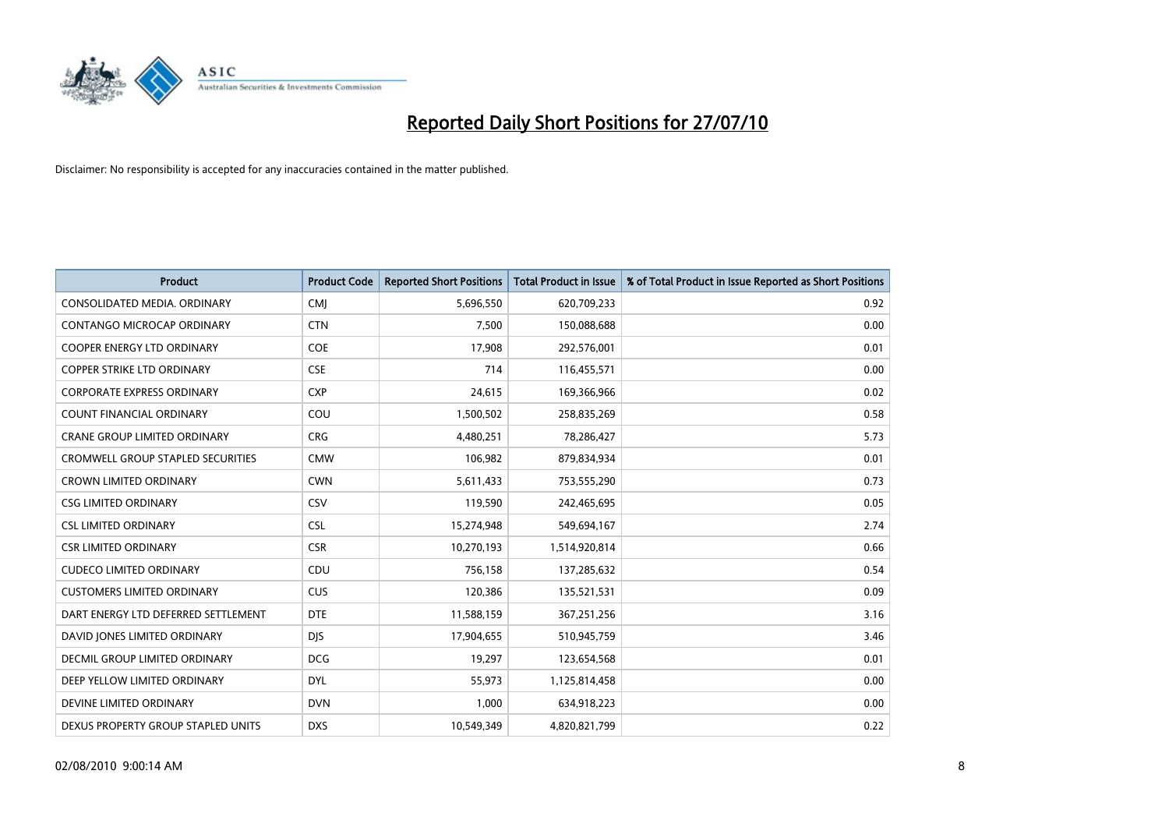

| <b>Product</b>                           | <b>Product Code</b> | <b>Reported Short Positions</b> | <b>Total Product in Issue</b> | % of Total Product in Issue Reported as Short Positions |
|------------------------------------------|---------------------|---------------------------------|-------------------------------|---------------------------------------------------------|
| CONSOLIDATED MEDIA, ORDINARY             | <b>CMI</b>          | 5,696,550                       | 620,709,233                   | 0.92                                                    |
| CONTANGO MICROCAP ORDINARY               | <b>CTN</b>          | 7,500                           | 150,088,688                   | 0.00                                                    |
| <b>COOPER ENERGY LTD ORDINARY</b>        | <b>COE</b>          | 17,908                          | 292,576,001                   | 0.01                                                    |
| COPPER STRIKE LTD ORDINARY               | <b>CSE</b>          | 714                             | 116,455,571                   | 0.00                                                    |
| <b>CORPORATE EXPRESS ORDINARY</b>        | <b>CXP</b>          | 24,615                          | 169,366,966                   | 0.02                                                    |
| <b>COUNT FINANCIAL ORDINARY</b>          | COU                 | 1,500,502                       | 258,835,269                   | 0.58                                                    |
| <b>CRANE GROUP LIMITED ORDINARY</b>      | <b>CRG</b>          | 4,480,251                       | 78,286,427                    | 5.73                                                    |
| <b>CROMWELL GROUP STAPLED SECURITIES</b> | <b>CMW</b>          | 106,982                         | 879,834,934                   | 0.01                                                    |
| <b>CROWN LIMITED ORDINARY</b>            | <b>CWN</b>          | 5,611,433                       | 753,555,290                   | 0.73                                                    |
| <b>CSG LIMITED ORDINARY</b>              | CSV                 | 119,590                         | 242,465,695                   | 0.05                                                    |
| <b>CSL LIMITED ORDINARY</b>              | <b>CSL</b>          | 15,274,948                      | 549,694,167                   | 2.74                                                    |
| <b>CSR LIMITED ORDINARY</b>              | <b>CSR</b>          | 10,270,193                      | 1,514,920,814                 | 0.66                                                    |
| <b>CUDECO LIMITED ORDINARY</b>           | CDU                 | 756,158                         | 137,285,632                   | 0.54                                                    |
| <b>CUSTOMERS LIMITED ORDINARY</b>        | <b>CUS</b>          | 120,386                         | 135,521,531                   | 0.09                                                    |
| DART ENERGY LTD DEFERRED SETTLEMENT      | <b>DTE</b>          | 11,588,159                      | 367,251,256                   | 3.16                                                    |
| DAVID JONES LIMITED ORDINARY             | <b>DIS</b>          | 17,904,655                      | 510,945,759                   | 3.46                                                    |
| DECMIL GROUP LIMITED ORDINARY            | <b>DCG</b>          | 19,297                          | 123,654,568                   | 0.01                                                    |
| DEEP YELLOW LIMITED ORDINARY             | <b>DYL</b>          | 55,973                          | 1,125,814,458                 | 0.00                                                    |
| DEVINE LIMITED ORDINARY                  | <b>DVN</b>          | 1,000                           | 634,918,223                   | 0.00                                                    |
| DEXUS PROPERTY GROUP STAPLED UNITS       | <b>DXS</b>          | 10,549,349                      | 4,820,821,799                 | 0.22                                                    |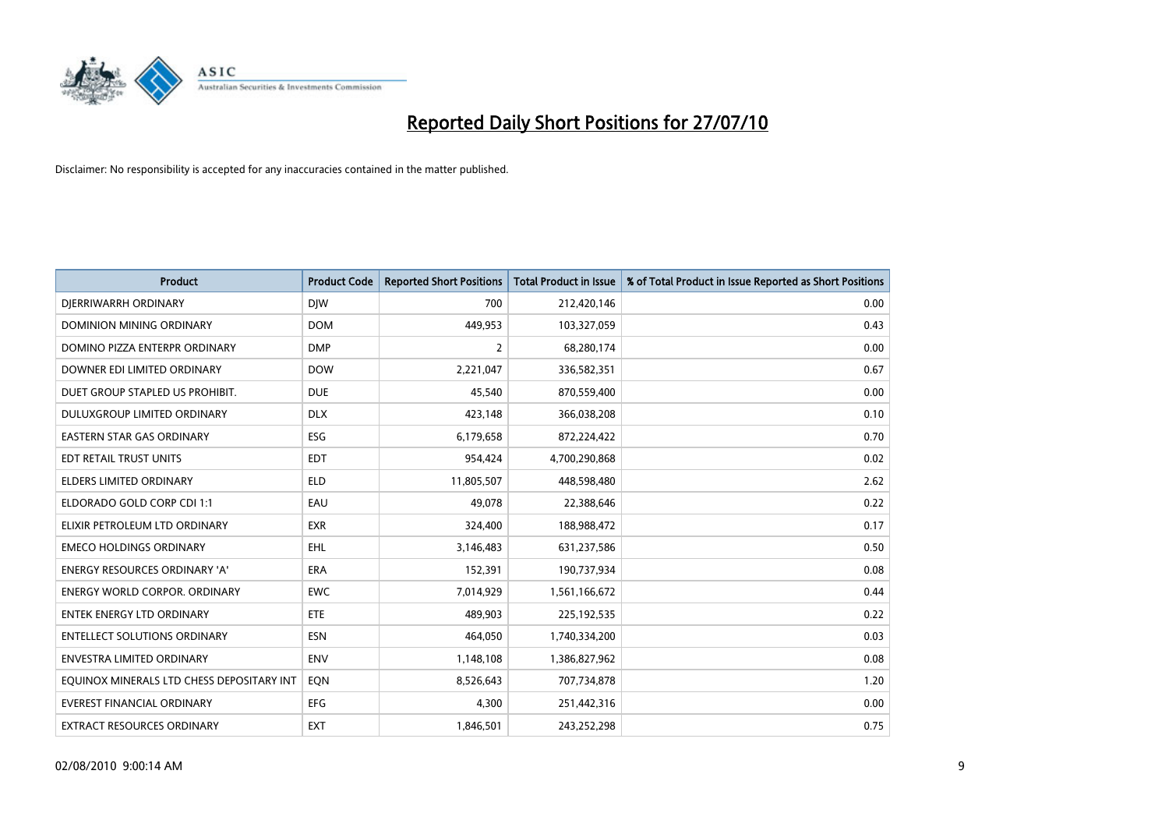

| <b>Product</b>                            | <b>Product Code</b> | <b>Reported Short Positions</b> | <b>Total Product in Issue</b> | % of Total Product in Issue Reported as Short Positions |
|-------------------------------------------|---------------------|---------------------------------|-------------------------------|---------------------------------------------------------|
| DIERRIWARRH ORDINARY                      | <b>DIW</b>          | 700                             | 212,420,146                   | 0.00                                                    |
| <b>DOMINION MINING ORDINARY</b>           | <b>DOM</b>          | 449,953                         | 103,327,059                   | 0.43                                                    |
| DOMINO PIZZA ENTERPR ORDINARY             | <b>DMP</b>          | 2                               | 68,280,174                    | 0.00                                                    |
| DOWNER EDI LIMITED ORDINARY               | <b>DOW</b>          | 2,221,047                       | 336,582,351                   | 0.67                                                    |
| DUET GROUP STAPLED US PROHIBIT.           | <b>DUE</b>          | 45,540                          | 870,559,400                   | 0.00                                                    |
| DULUXGROUP LIMITED ORDINARY               | <b>DLX</b>          | 423,148                         | 366,038,208                   | 0.10                                                    |
| <b>EASTERN STAR GAS ORDINARY</b>          | ESG                 | 6,179,658                       | 872,224,422                   | 0.70                                                    |
| EDT RETAIL TRUST UNITS                    | <b>EDT</b>          | 954,424                         | 4,700,290,868                 | 0.02                                                    |
| <b>ELDERS LIMITED ORDINARY</b>            | <b>ELD</b>          | 11,805,507                      | 448,598,480                   | 2.62                                                    |
| ELDORADO GOLD CORP CDI 1:1                | EAU                 | 49.078                          | 22,388,646                    | 0.22                                                    |
| ELIXIR PETROLEUM LTD ORDINARY             | <b>EXR</b>          | 324,400                         | 188,988,472                   | 0.17                                                    |
| <b>EMECO HOLDINGS ORDINARY</b>            | <b>EHL</b>          | 3,146,483                       | 631,237,586                   | 0.50                                                    |
| ENERGY RESOURCES ORDINARY 'A'             | ERA                 | 152,391                         | 190,737,934                   | 0.08                                                    |
| <b>ENERGY WORLD CORPOR, ORDINARY</b>      | <b>EWC</b>          | 7,014,929                       | 1,561,166,672                 | 0.44                                                    |
| <b>ENTEK ENERGY LTD ORDINARY</b>          | <b>ETE</b>          | 489.903                         | 225,192,535                   | 0.22                                                    |
| <b>ENTELLECT SOLUTIONS ORDINARY</b>       | <b>ESN</b>          | 464,050                         | 1,740,334,200                 | 0.03                                                    |
| ENVESTRA LIMITED ORDINARY                 | <b>ENV</b>          | 1,148,108                       | 1,386,827,962                 | 0.08                                                    |
| EQUINOX MINERALS LTD CHESS DEPOSITARY INT | EON                 | 8,526,643                       | 707,734,878                   | 1.20                                                    |
| <b>EVEREST FINANCIAL ORDINARY</b>         | EFG                 | 4,300                           | 251,442,316                   | 0.00                                                    |
| EXTRACT RESOURCES ORDINARY                | <b>EXT</b>          | 1,846,501                       | 243,252,298                   | 0.75                                                    |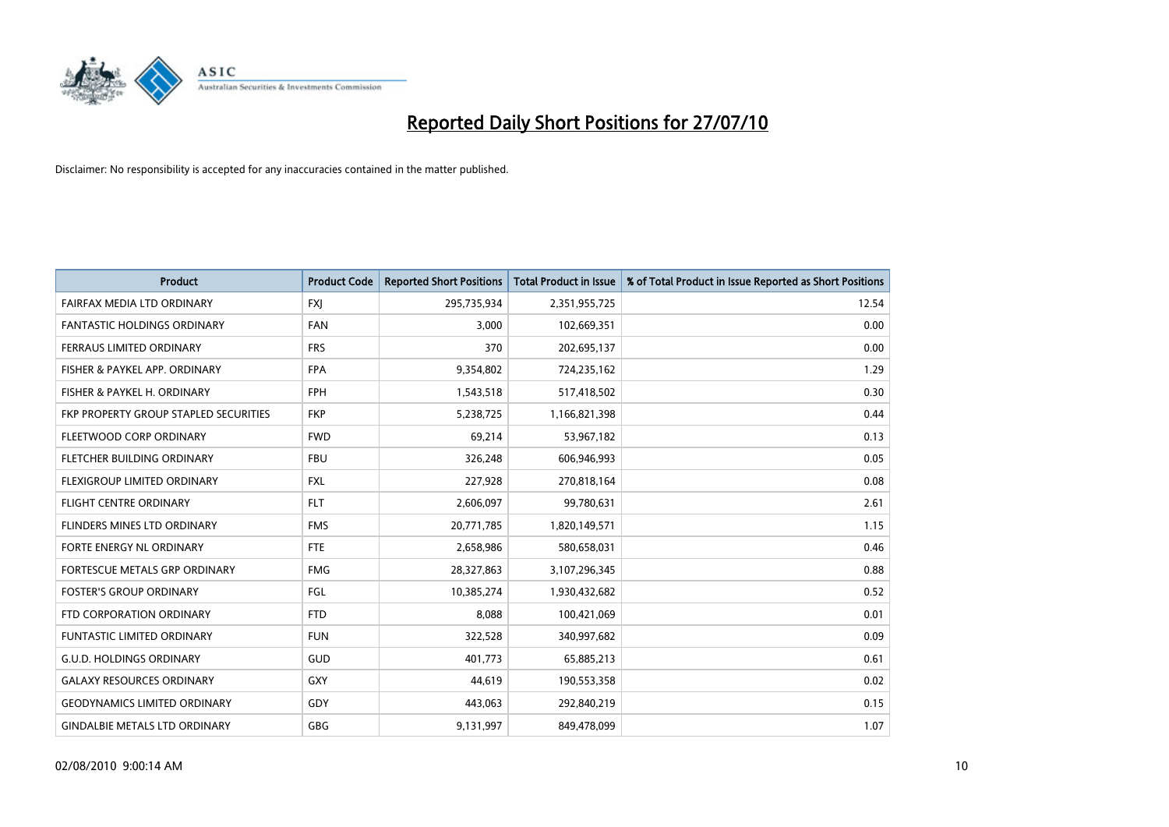

| <b>Product</b>                        | <b>Product Code</b> | <b>Reported Short Positions</b> | Total Product in Issue | % of Total Product in Issue Reported as Short Positions |
|---------------------------------------|---------------------|---------------------------------|------------------------|---------------------------------------------------------|
| FAIRFAX MEDIA LTD ORDINARY            | <b>FXJ</b>          | 295,735,934                     | 2,351,955,725          | 12.54                                                   |
| FANTASTIC HOLDINGS ORDINARY           | <b>FAN</b>          | 3,000                           | 102,669,351            | 0.00                                                    |
| <b>FERRAUS LIMITED ORDINARY</b>       | <b>FRS</b>          | 370                             | 202,695,137            | 0.00                                                    |
| FISHER & PAYKEL APP. ORDINARY         | <b>FPA</b>          | 9,354,802                       | 724,235,162            | 1.29                                                    |
| FISHER & PAYKEL H. ORDINARY           | <b>FPH</b>          | 1,543,518                       | 517,418,502            | 0.30                                                    |
| FKP PROPERTY GROUP STAPLED SECURITIES | <b>FKP</b>          | 5,238,725                       | 1,166,821,398          | 0.44                                                    |
| FLEETWOOD CORP ORDINARY               | <b>FWD</b>          | 69,214                          | 53,967,182             | 0.13                                                    |
| FLETCHER BUILDING ORDINARY            | <b>FBU</b>          | 326,248                         | 606,946,993            | 0.05                                                    |
| FLEXIGROUP LIMITED ORDINARY           | <b>FXL</b>          | 227,928                         | 270,818,164            | 0.08                                                    |
| <b>FLIGHT CENTRE ORDINARY</b>         | <b>FLT</b>          | 2,606,097                       | 99,780,631             | 2.61                                                    |
| <b>FLINDERS MINES LTD ORDINARY</b>    | <b>FMS</b>          | 20,771,785                      | 1,820,149,571          | 1.15                                                    |
| FORTE ENERGY NL ORDINARY              | <b>FTE</b>          | 2,658,986                       | 580,658,031            | 0.46                                                    |
| FORTESCUE METALS GRP ORDINARY         | <b>FMG</b>          | 28,327,863                      | 3,107,296,345          | 0.88                                                    |
| <b>FOSTER'S GROUP ORDINARY</b>        | FGL                 | 10,385,274                      | 1,930,432,682          | 0.52                                                    |
| FTD CORPORATION ORDINARY              | <b>FTD</b>          | 8,088                           | 100,421,069            | 0.01                                                    |
| <b>FUNTASTIC LIMITED ORDINARY</b>     | <b>FUN</b>          | 322,528                         | 340,997,682            | 0.09                                                    |
| <b>G.U.D. HOLDINGS ORDINARY</b>       | GUD                 | 401,773                         | 65,885,213             | 0.61                                                    |
| <b>GALAXY RESOURCES ORDINARY</b>      | <b>GXY</b>          | 44,619                          | 190,553,358            | 0.02                                                    |
| <b>GEODYNAMICS LIMITED ORDINARY</b>   | GDY                 | 443,063                         | 292,840,219            | 0.15                                                    |
| <b>GINDALBIE METALS LTD ORDINARY</b>  | <b>GBG</b>          | 9,131,997                       | 849,478,099            | 1.07                                                    |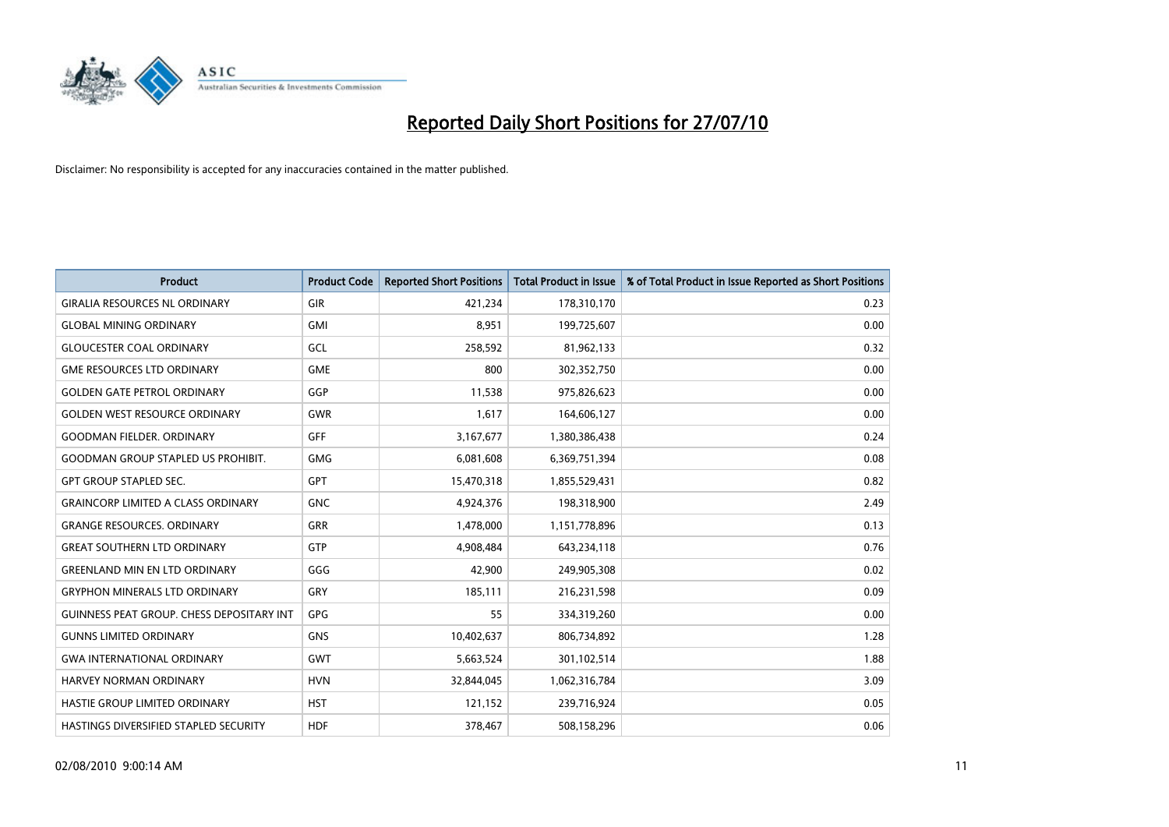

| <b>Product</b>                                   | <b>Product Code</b> | <b>Reported Short Positions</b> | Total Product in Issue | % of Total Product in Issue Reported as Short Positions |
|--------------------------------------------------|---------------------|---------------------------------|------------------------|---------------------------------------------------------|
| <b>GIRALIA RESOURCES NL ORDINARY</b>             | GIR                 | 421,234                         | 178,310,170            | 0.23                                                    |
| <b>GLOBAL MINING ORDINARY</b>                    | <b>GMI</b>          | 8,951                           | 199,725,607            | 0.00                                                    |
| <b>GLOUCESTER COAL ORDINARY</b>                  | GCL                 | 258,592                         | 81,962,133             | 0.32                                                    |
| <b>GME RESOURCES LTD ORDINARY</b>                | <b>GME</b>          | 800                             | 302,352,750            | 0.00                                                    |
| <b>GOLDEN GATE PETROL ORDINARY</b>               | GGP                 | 11,538                          | 975,826,623            | 0.00                                                    |
| <b>GOLDEN WEST RESOURCE ORDINARY</b>             | <b>GWR</b>          | 1,617                           | 164,606,127            | 0.00                                                    |
| <b>GOODMAN FIELDER, ORDINARY</b>                 | <b>GFF</b>          | 3,167,677                       | 1,380,386,438          | 0.24                                                    |
| <b>GOODMAN GROUP STAPLED US PROHIBIT.</b>        | <b>GMG</b>          | 6,081,608                       | 6,369,751,394          | 0.08                                                    |
| <b>GPT GROUP STAPLED SEC.</b>                    | <b>GPT</b>          | 15,470,318                      | 1,855,529,431          | 0.82                                                    |
| <b>GRAINCORP LIMITED A CLASS ORDINARY</b>        | <b>GNC</b>          | 4,924,376                       | 198,318,900            | 2.49                                                    |
| <b>GRANGE RESOURCES. ORDINARY</b>                | <b>GRR</b>          | 1,478,000                       | 1,151,778,896          | 0.13                                                    |
| <b>GREAT SOUTHERN LTD ORDINARY</b>               | GTP                 | 4,908,484                       | 643,234,118            | 0.76                                                    |
| <b>GREENLAND MIN EN LTD ORDINARY</b>             | GGG                 | 42,900                          | 249,905,308            | 0.02                                                    |
| <b>GRYPHON MINERALS LTD ORDINARY</b>             | GRY                 | 185,111                         | 216,231,598            | 0.09                                                    |
| <b>GUINNESS PEAT GROUP. CHESS DEPOSITARY INT</b> | GPG                 | 55                              | 334,319,260            | 0.00                                                    |
| <b>GUNNS LIMITED ORDINARY</b>                    | <b>GNS</b>          | 10,402,637                      | 806,734,892            | 1.28                                                    |
| <b>GWA INTERNATIONAL ORDINARY</b>                | <b>GWT</b>          | 5,663,524                       | 301,102,514            | 1.88                                                    |
| <b>HARVEY NORMAN ORDINARY</b>                    | <b>HVN</b>          | 32,844,045                      | 1,062,316,784          | 3.09                                                    |
| HASTIE GROUP LIMITED ORDINARY                    | <b>HST</b>          | 121,152                         | 239,716,924            | 0.05                                                    |
| <b>HASTINGS DIVERSIFIED STAPLED SECURITY</b>     | <b>HDF</b>          | 378,467                         | 508,158,296            | 0.06                                                    |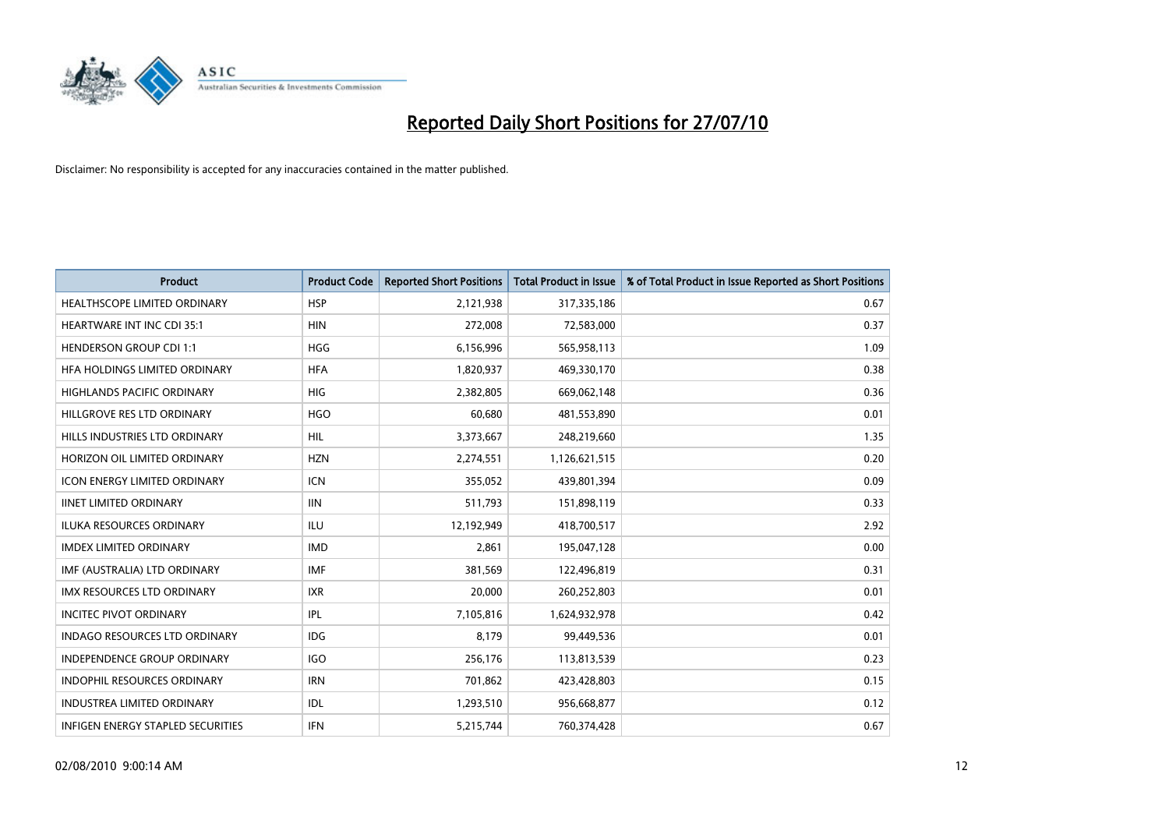

| <b>Product</b>                           | <b>Product Code</b> | <b>Reported Short Positions</b> | Total Product in Issue | % of Total Product in Issue Reported as Short Positions |
|------------------------------------------|---------------------|---------------------------------|------------------------|---------------------------------------------------------|
| <b>HEALTHSCOPE LIMITED ORDINARY</b>      | <b>HSP</b>          | 2,121,938                       | 317,335,186            | 0.67                                                    |
| <b>HEARTWARE INT INC CDI 35:1</b>        | <b>HIN</b>          | 272,008                         | 72,583,000             | 0.37                                                    |
| <b>HENDERSON GROUP CDI 1:1</b>           | <b>HGG</b>          | 6,156,996                       | 565,958,113            | 1.09                                                    |
| HFA HOLDINGS LIMITED ORDINARY            | <b>HFA</b>          | 1,820,937                       | 469,330,170            | 0.38                                                    |
| <b>HIGHLANDS PACIFIC ORDINARY</b>        | <b>HIG</b>          | 2,382,805                       | 669,062,148            | 0.36                                                    |
| HILLGROVE RES LTD ORDINARY               | <b>HGO</b>          | 60,680                          | 481,553,890            | 0.01                                                    |
| HILLS INDUSTRIES LTD ORDINARY            | <b>HIL</b>          | 3,373,667                       | 248,219,660            | 1.35                                                    |
| HORIZON OIL LIMITED ORDINARY             | <b>HZN</b>          | 2,274,551                       | 1,126,621,515          | 0.20                                                    |
| ICON ENERGY LIMITED ORDINARY             | <b>ICN</b>          | 355,052                         | 439,801,394            | 0.09                                                    |
| <b>IINET LIMITED ORDINARY</b>            | <b>IIN</b>          | 511,793                         | 151,898,119            | 0.33                                                    |
| ILUKA RESOURCES ORDINARY                 | <b>ILU</b>          | 12,192,949                      | 418,700,517            | 2.92                                                    |
| <b>IMDEX LIMITED ORDINARY</b>            | <b>IMD</b>          | 2,861                           | 195,047,128            | 0.00                                                    |
| IMF (AUSTRALIA) LTD ORDINARY             | <b>IMF</b>          | 381,569                         | 122,496,819            | 0.31                                                    |
| <b>IMX RESOURCES LTD ORDINARY</b>        | <b>IXR</b>          | 20,000                          | 260,252,803            | 0.01                                                    |
| <b>INCITEC PIVOT ORDINARY</b>            | IPL                 | 7,105,816                       | 1,624,932,978          | 0.42                                                    |
| <b>INDAGO RESOURCES LTD ORDINARY</b>     | <b>IDG</b>          | 8,179                           | 99,449,536             | 0.01                                                    |
| <b>INDEPENDENCE GROUP ORDINARY</b>       | <b>IGO</b>          | 256,176                         | 113,813,539            | 0.23                                                    |
| INDOPHIL RESOURCES ORDINARY              | <b>IRN</b>          | 701,862                         | 423,428,803            | 0.15                                                    |
| <b>INDUSTREA LIMITED ORDINARY</b>        | IDL                 | 1,293,510                       | 956,668,877            | 0.12                                                    |
| <b>INFIGEN ENERGY STAPLED SECURITIES</b> | <b>IFN</b>          | 5,215,744                       | 760,374,428            | 0.67                                                    |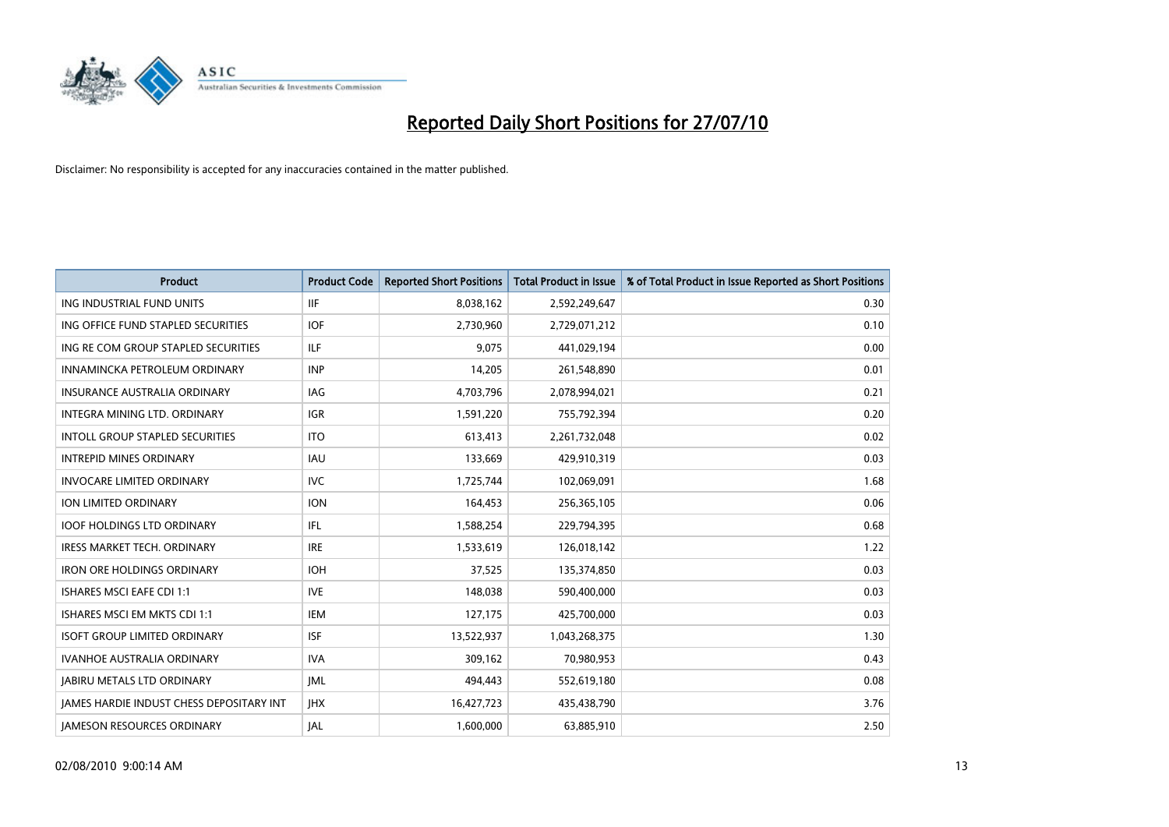

| <b>Product</b>                                  | <b>Product Code</b> | <b>Reported Short Positions</b> | <b>Total Product in Issue</b> | % of Total Product in Issue Reported as Short Positions |
|-------------------------------------------------|---------------------|---------------------------------|-------------------------------|---------------------------------------------------------|
| ING INDUSTRIAL FUND UNITS                       | <b>IIF</b>          | 8,038,162                       | 2,592,249,647                 | 0.30                                                    |
| ING OFFICE FUND STAPLED SECURITIES              | <b>IOF</b>          | 2,730,960                       | 2,729,071,212                 | 0.10                                                    |
| ING RE COM GROUP STAPLED SECURITIES             | ILF.                | 9.075                           | 441,029,194                   | 0.00                                                    |
| INNAMINCKA PETROLEUM ORDINARY                   | <b>INP</b>          | 14,205                          | 261,548,890                   | 0.01                                                    |
| <b>INSURANCE AUSTRALIA ORDINARY</b>             | <b>IAG</b>          | 4,703,796                       | 2,078,994,021                 | 0.21                                                    |
| INTEGRA MINING LTD, ORDINARY                    | <b>IGR</b>          | 1,591,220                       | 755,792,394                   | 0.20                                                    |
| <b>INTOLL GROUP STAPLED SECURITIES</b>          | <b>ITO</b>          | 613,413                         | 2,261,732,048                 | 0.02                                                    |
| <b>INTREPID MINES ORDINARY</b>                  | <b>IAU</b>          | 133,669                         | 429,910,319                   | 0.03                                                    |
| <b>INVOCARE LIMITED ORDINARY</b>                | <b>IVC</b>          | 1,725,744                       | 102,069,091                   | 1.68                                                    |
| <b>ION LIMITED ORDINARY</b>                     | <b>ION</b>          | 164,453                         | 256,365,105                   | 0.06                                                    |
| <b>IOOF HOLDINGS LTD ORDINARY</b>               | IFL.                | 1,588,254                       | 229,794,395                   | 0.68                                                    |
| <b>IRESS MARKET TECH. ORDINARY</b>              | <b>IRE</b>          | 1,533,619                       | 126,018,142                   | 1.22                                                    |
| <b>IRON ORE HOLDINGS ORDINARY</b>               | <b>IOH</b>          | 37,525                          | 135,374,850                   | 0.03                                                    |
| <b>ISHARES MSCI EAFE CDI 1:1</b>                | <b>IVE</b>          | 148,038                         | 590,400,000                   | 0.03                                                    |
| ISHARES MSCI EM MKTS CDI 1:1                    | <b>IEM</b>          | 127,175                         | 425,700,000                   | 0.03                                                    |
| <b>ISOFT GROUP LIMITED ORDINARY</b>             | <b>ISF</b>          | 13,522,937                      | 1,043,268,375                 | 1.30                                                    |
| <b>IVANHOE AUSTRALIA ORDINARY</b>               | <b>IVA</b>          | 309,162                         | 70,980,953                    | 0.43                                                    |
| <b>JABIRU METALS LTD ORDINARY</b>               | <b>JML</b>          | 494,443                         | 552,619,180                   | 0.08                                                    |
| <b>IAMES HARDIE INDUST CHESS DEPOSITARY INT</b> | <b>IHX</b>          | 16,427,723                      | 435,438,790                   | 3.76                                                    |
| <b>IAMESON RESOURCES ORDINARY</b>               | <b>JAL</b>          | 1,600,000                       | 63,885,910                    | 2.50                                                    |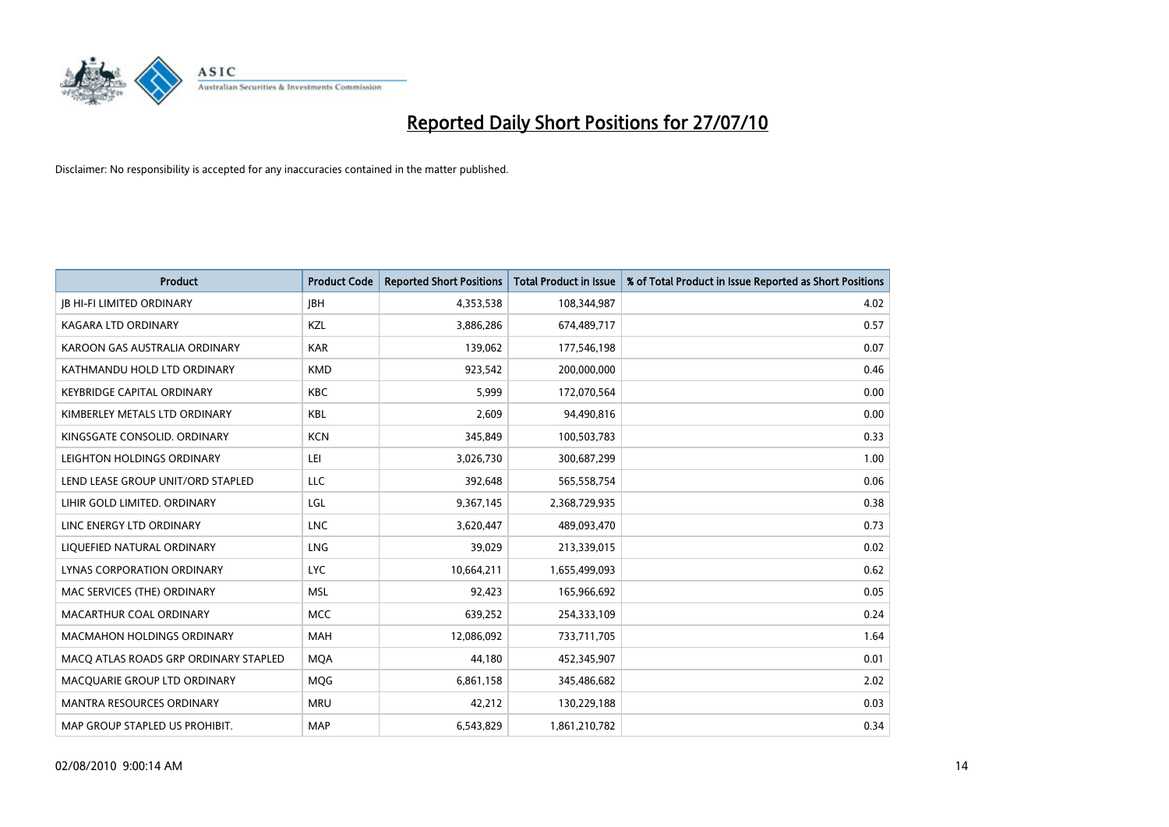

| <b>Product</b>                        | <b>Product Code</b> | <b>Reported Short Positions</b> | <b>Total Product in Issue</b> | % of Total Product in Issue Reported as Short Positions |
|---------------------------------------|---------------------|---------------------------------|-------------------------------|---------------------------------------------------------|
| <b>JB HI-FI LIMITED ORDINARY</b>      | <b>IBH</b>          | 4,353,538                       | 108,344,987                   | 4.02                                                    |
| KAGARA LTD ORDINARY                   | KZL                 | 3,886,286                       | 674,489,717                   | 0.57                                                    |
| KAROON GAS AUSTRALIA ORDINARY         | <b>KAR</b>          | 139,062                         | 177,546,198                   | 0.07                                                    |
| KATHMANDU HOLD LTD ORDINARY           | <b>KMD</b>          | 923,542                         | 200,000,000                   | 0.46                                                    |
| <b>KEYBRIDGE CAPITAL ORDINARY</b>     | <b>KBC</b>          | 5,999                           | 172,070,564                   | 0.00                                                    |
| KIMBERLEY METALS LTD ORDINARY         | <b>KBL</b>          | 2,609                           | 94,490,816                    | 0.00                                                    |
| KINGSGATE CONSOLID. ORDINARY          | <b>KCN</b>          | 345,849                         | 100,503,783                   | 0.33                                                    |
| LEIGHTON HOLDINGS ORDINARY            | LEI                 | 3,026,730                       | 300,687,299                   | 1.00                                                    |
| LEND LEASE GROUP UNIT/ORD STAPLED     | LLC                 | 392,648                         | 565,558,754                   | 0.06                                                    |
| LIHIR GOLD LIMITED. ORDINARY          | LGL                 | 9,367,145                       | 2,368,729,935                 | 0.38                                                    |
| LINC ENERGY LTD ORDINARY              | <b>LNC</b>          | 3,620,447                       | 489,093,470                   | 0.73                                                    |
| LIQUEFIED NATURAL ORDINARY            | LNG                 | 39,029                          | 213,339,015                   | 0.02                                                    |
| LYNAS CORPORATION ORDINARY            | <b>LYC</b>          | 10,664,211                      | 1,655,499,093                 | 0.62                                                    |
| MAC SERVICES (THE) ORDINARY           | <b>MSL</b>          | 92,423                          | 165,966,692                   | 0.05                                                    |
| MACARTHUR COAL ORDINARY               | <b>MCC</b>          | 639,252                         | 254,333,109                   | 0.24                                                    |
| MACMAHON HOLDINGS ORDINARY            | <b>MAH</b>          | 12,086,092                      | 733,711,705                   | 1.64                                                    |
| MACQ ATLAS ROADS GRP ORDINARY STAPLED | <b>MQA</b>          | 44,180                          | 452,345,907                   | 0.01                                                    |
| MACQUARIE GROUP LTD ORDINARY          | MQG                 | 6,861,158                       | 345,486,682                   | 2.02                                                    |
| <b>MANTRA RESOURCES ORDINARY</b>      | <b>MRU</b>          | 42,212                          | 130,229,188                   | 0.03                                                    |
| MAP GROUP STAPLED US PROHIBIT.        | <b>MAP</b>          | 6,543,829                       | 1,861,210,782                 | 0.34                                                    |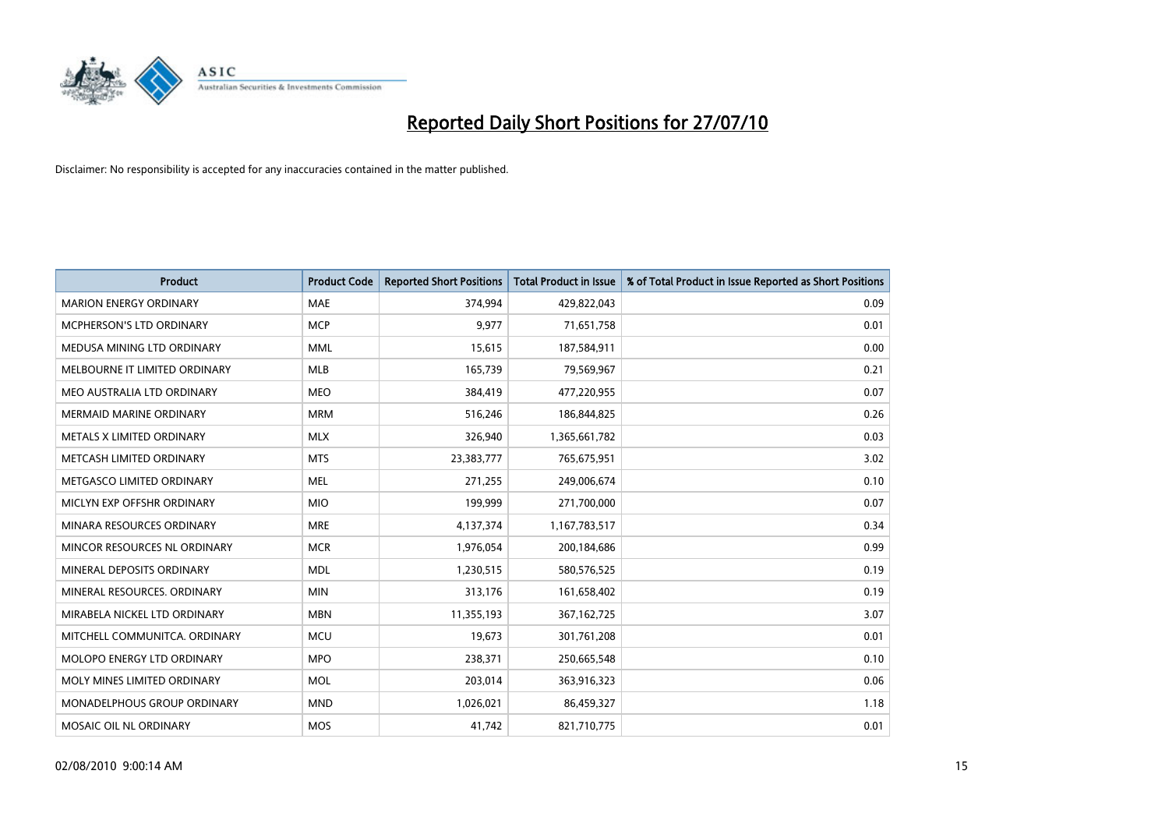

| <b>Product</b>                   | <b>Product Code</b> | <b>Reported Short Positions</b> | <b>Total Product in Issue</b> | % of Total Product in Issue Reported as Short Positions |
|----------------------------------|---------------------|---------------------------------|-------------------------------|---------------------------------------------------------|
| <b>MARION ENERGY ORDINARY</b>    | <b>MAE</b>          | 374,994                         | 429,822,043                   | 0.09                                                    |
| MCPHERSON'S LTD ORDINARY         | <b>MCP</b>          | 9,977                           | 71,651,758                    | 0.01                                                    |
| MEDUSA MINING LTD ORDINARY       | <b>MML</b>          | 15,615                          | 187,584,911                   | 0.00                                                    |
| MELBOURNE IT LIMITED ORDINARY    | <b>MLB</b>          | 165,739                         | 79,569,967                    | 0.21                                                    |
| MEO AUSTRALIA LTD ORDINARY       | <b>MEO</b>          | 384,419                         | 477,220,955                   | 0.07                                                    |
| <b>MERMAID MARINE ORDINARY</b>   | <b>MRM</b>          | 516,246                         | 186,844,825                   | 0.26                                                    |
| <b>METALS X LIMITED ORDINARY</b> | <b>MLX</b>          | 326,940                         | 1,365,661,782                 | 0.03                                                    |
| METCASH LIMITED ORDINARY         | <b>MTS</b>          | 23,383,777                      | 765,675,951                   | 3.02                                                    |
| METGASCO LIMITED ORDINARY        | <b>MEL</b>          | 271,255                         | 249,006,674                   | 0.10                                                    |
| MICLYN EXP OFFSHR ORDINARY       | <b>MIO</b>          | 199,999                         | 271,700,000                   | 0.07                                                    |
| MINARA RESOURCES ORDINARY        | <b>MRE</b>          | 4,137,374                       | 1,167,783,517                 | 0.34                                                    |
| MINCOR RESOURCES NL ORDINARY     | <b>MCR</b>          | 1,976,054                       | 200,184,686                   | 0.99                                                    |
| MINERAL DEPOSITS ORDINARY        | <b>MDL</b>          | 1,230,515                       | 580,576,525                   | 0.19                                                    |
| MINERAL RESOURCES, ORDINARY      | <b>MIN</b>          | 313,176                         | 161,658,402                   | 0.19                                                    |
| MIRABELA NICKEL LTD ORDINARY     | <b>MBN</b>          | 11,355,193                      | 367, 162, 725                 | 3.07                                                    |
| MITCHELL COMMUNITCA. ORDINARY    | <b>MCU</b>          | 19,673                          | 301,761,208                   | 0.01                                                    |
| MOLOPO ENERGY LTD ORDINARY       | <b>MPO</b>          | 238,371                         | 250,665,548                   | 0.10                                                    |
| MOLY MINES LIMITED ORDINARY      | <b>MOL</b>          | 203,014                         | 363,916,323                   | 0.06                                                    |
| MONADELPHOUS GROUP ORDINARY      | <b>MND</b>          | 1,026,021                       | 86,459,327                    | 1.18                                                    |
| MOSAIC OIL NL ORDINARY           | <b>MOS</b>          | 41,742                          | 821,710,775                   | 0.01                                                    |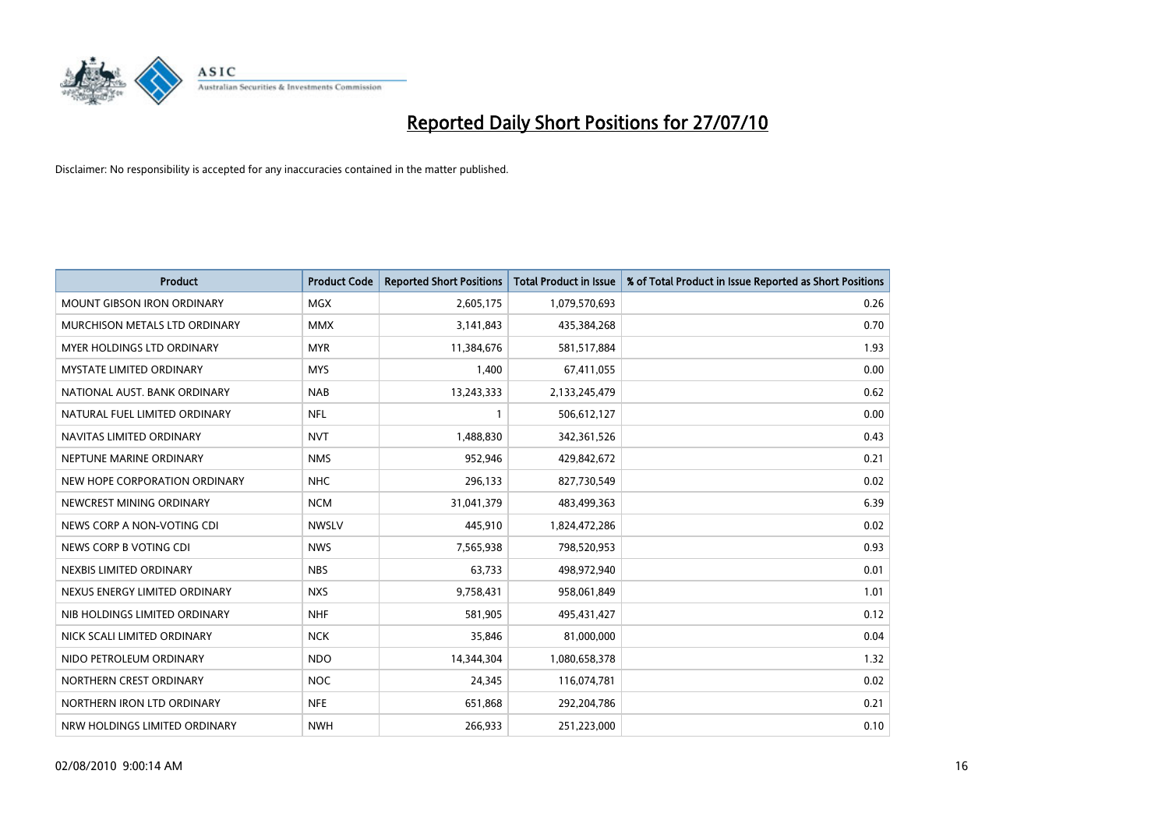

| <b>Product</b>                    | <b>Product Code</b> | <b>Reported Short Positions</b> | <b>Total Product in Issue</b> | % of Total Product in Issue Reported as Short Positions |
|-----------------------------------|---------------------|---------------------------------|-------------------------------|---------------------------------------------------------|
| <b>MOUNT GIBSON IRON ORDINARY</b> | MGX                 | 2,605,175                       | 1,079,570,693                 | 0.26                                                    |
| MURCHISON METALS LTD ORDINARY     | <b>MMX</b>          | 3,141,843                       | 435,384,268                   | 0.70                                                    |
| MYER HOLDINGS LTD ORDINARY        | <b>MYR</b>          | 11,384,676                      | 581,517,884                   | 1.93                                                    |
| <b>MYSTATE LIMITED ORDINARY</b>   | <b>MYS</b>          | 1,400                           | 67,411,055                    | 0.00                                                    |
| NATIONAL AUST. BANK ORDINARY      | <b>NAB</b>          | 13,243,333                      | 2,133,245,479                 | 0.62                                                    |
| NATURAL FUEL LIMITED ORDINARY     | <b>NFL</b>          |                                 | 506,612,127                   | 0.00                                                    |
| NAVITAS LIMITED ORDINARY          | <b>NVT</b>          | 1,488,830                       | 342,361,526                   | 0.43                                                    |
| NEPTUNE MARINE ORDINARY           | <b>NMS</b>          | 952,946                         | 429,842,672                   | 0.21                                                    |
| NEW HOPE CORPORATION ORDINARY     | <b>NHC</b>          | 296,133                         | 827,730,549                   | 0.02                                                    |
| NEWCREST MINING ORDINARY          | <b>NCM</b>          | 31,041,379                      | 483,499,363                   | 6.39                                                    |
| NEWS CORP A NON-VOTING CDI        | <b>NWSLV</b>        | 445,910                         | 1,824,472,286                 | 0.02                                                    |
| NEWS CORP B VOTING CDI            | <b>NWS</b>          | 7,565,938                       | 798,520,953                   | 0.93                                                    |
| NEXBIS LIMITED ORDINARY           | <b>NBS</b>          | 63,733                          | 498,972,940                   | 0.01                                                    |
| NEXUS ENERGY LIMITED ORDINARY     | <b>NXS</b>          | 9,758,431                       | 958,061,849                   | 1.01                                                    |
| NIB HOLDINGS LIMITED ORDINARY     | <b>NHF</b>          | 581,905                         | 495,431,427                   | 0.12                                                    |
| NICK SCALI LIMITED ORDINARY       | <b>NCK</b>          | 35,846                          | 81,000,000                    | 0.04                                                    |
| NIDO PETROLEUM ORDINARY           | <b>NDO</b>          | 14,344,304                      | 1,080,658,378                 | 1.32                                                    |
| NORTHERN CREST ORDINARY           | <b>NOC</b>          | 24,345                          | 116,074,781                   | 0.02                                                    |
| NORTHERN IRON LTD ORDINARY        | <b>NFE</b>          | 651,868                         | 292,204,786                   | 0.21                                                    |
| NRW HOLDINGS LIMITED ORDINARY     | <b>NWH</b>          | 266,933                         | 251,223,000                   | 0.10                                                    |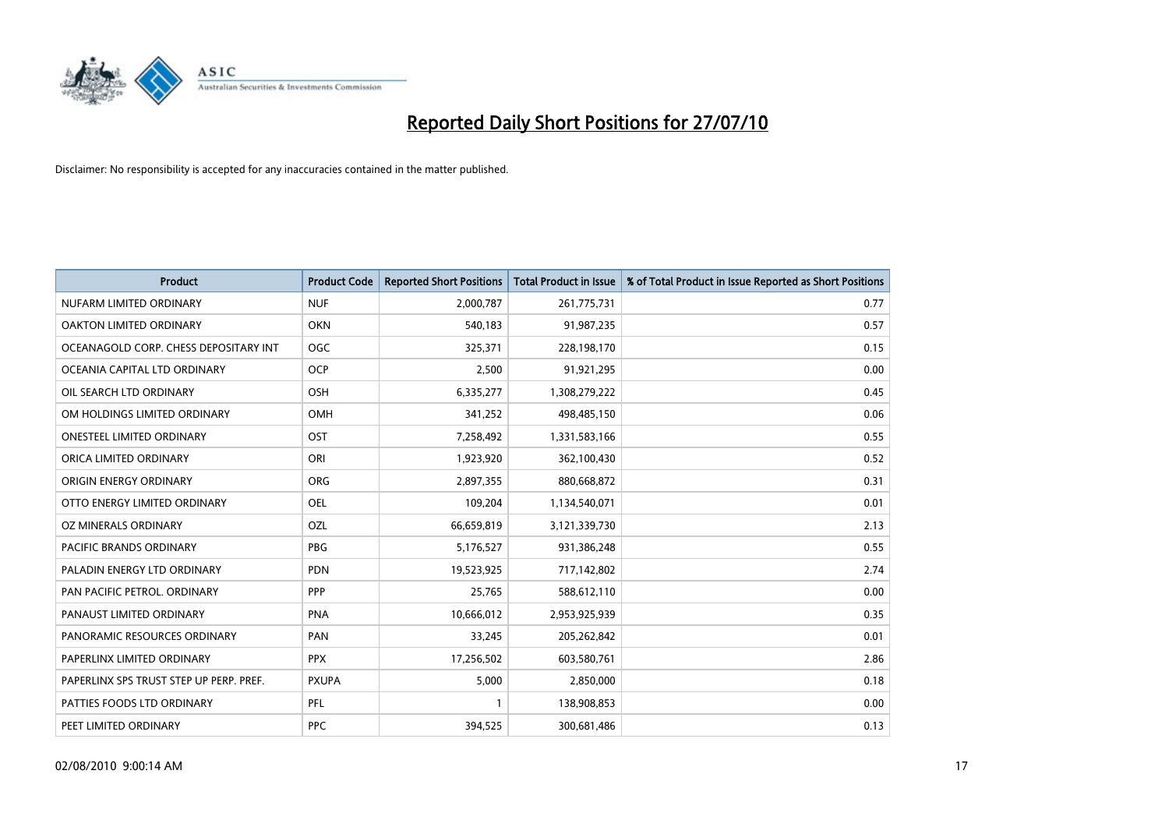

| <b>Product</b>                          | <b>Product Code</b> | <b>Reported Short Positions</b> | Total Product in Issue | % of Total Product in Issue Reported as Short Positions |
|-----------------------------------------|---------------------|---------------------------------|------------------------|---------------------------------------------------------|
| NUFARM LIMITED ORDINARY                 | <b>NUF</b>          | 2,000,787                       | 261,775,731            | 0.77                                                    |
| OAKTON LIMITED ORDINARY                 | <b>OKN</b>          | 540,183                         | 91,987,235             | 0.57                                                    |
| OCEANAGOLD CORP. CHESS DEPOSITARY INT   | <b>OGC</b>          | 325,371                         | 228,198,170            | 0.15                                                    |
| OCEANIA CAPITAL LTD ORDINARY            | <b>OCP</b>          | 2,500                           | 91,921,295             | 0.00                                                    |
| OIL SEARCH LTD ORDINARY                 | OSH                 | 6,335,277                       | 1,308,279,222          | 0.45                                                    |
| OM HOLDINGS LIMITED ORDINARY            | OMH                 | 341,252                         | 498,485,150            | 0.06                                                    |
| ONESTEEL LIMITED ORDINARY               | OST                 | 7,258,492                       | 1,331,583,166          | 0.55                                                    |
| ORICA LIMITED ORDINARY                  | ORI                 | 1,923,920                       | 362,100,430            | 0.52                                                    |
| ORIGIN ENERGY ORDINARY                  | <b>ORG</b>          | 2,897,355                       | 880,668,872            | 0.31                                                    |
| OTTO ENERGY LIMITED ORDINARY            | OEL                 | 109,204                         | 1,134,540,071          | 0.01                                                    |
| OZ MINERALS ORDINARY                    | OZL                 | 66,659,819                      | 3,121,339,730          | 2.13                                                    |
| PACIFIC BRANDS ORDINARY                 | <b>PBG</b>          | 5,176,527                       | 931,386,248            | 0.55                                                    |
| PALADIN ENERGY LTD ORDINARY             | <b>PDN</b>          | 19,523,925                      | 717,142,802            | 2.74                                                    |
| PAN PACIFIC PETROL. ORDINARY            | PPP                 | 25,765                          | 588,612,110            | 0.00                                                    |
| PANAUST LIMITED ORDINARY                | PNA                 | 10,666,012                      | 2,953,925,939          | 0.35                                                    |
| PANORAMIC RESOURCES ORDINARY            | PAN                 | 33,245                          | 205,262,842            | 0.01                                                    |
| PAPERLINX LIMITED ORDINARY              | <b>PPX</b>          | 17,256,502                      | 603,580,761            | 2.86                                                    |
| PAPERLINX SPS TRUST STEP UP PERP. PREF. | <b>PXUPA</b>        | 5,000                           | 2,850,000              | 0.18                                                    |
| PATTIES FOODS LTD ORDINARY              | PFL                 |                                 | 138,908,853            | 0.00                                                    |
| PEET LIMITED ORDINARY                   | <b>PPC</b>          | 394,525                         | 300,681,486            | 0.13                                                    |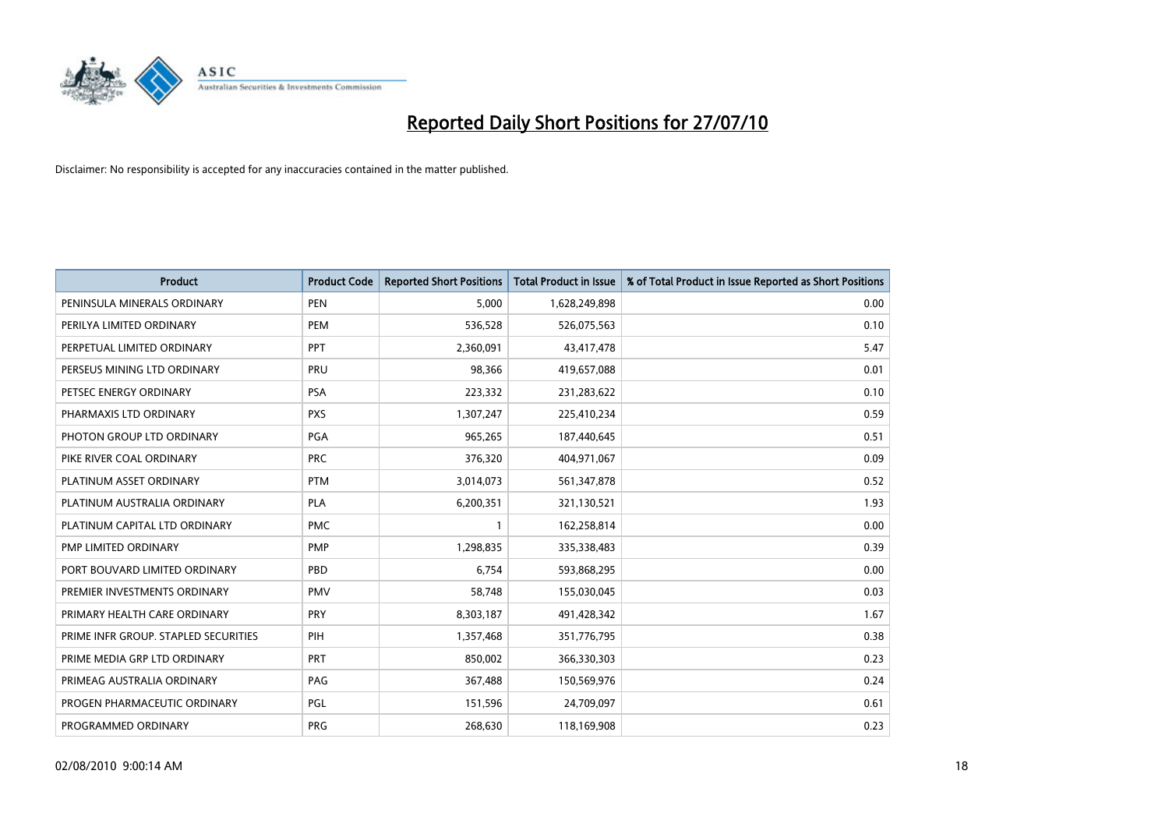

| <b>Product</b>                       | <b>Product Code</b> | <b>Reported Short Positions</b> | <b>Total Product in Issue</b> | % of Total Product in Issue Reported as Short Positions |
|--------------------------------------|---------------------|---------------------------------|-------------------------------|---------------------------------------------------------|
| PENINSULA MINERALS ORDINARY          | <b>PEN</b>          | 5,000                           | 1,628,249,898                 | 0.00                                                    |
| PERILYA LIMITED ORDINARY             | PEM                 | 536,528                         | 526,075,563                   | 0.10                                                    |
| PERPETUAL LIMITED ORDINARY           | PPT                 | 2,360,091                       | 43,417,478                    | 5.47                                                    |
| PERSEUS MINING LTD ORDINARY          | PRU                 | 98,366                          | 419,657,088                   | 0.01                                                    |
| PETSEC ENERGY ORDINARY               | <b>PSA</b>          | 223,332                         | 231,283,622                   | 0.10                                                    |
| PHARMAXIS LTD ORDINARY               | <b>PXS</b>          | 1,307,247                       | 225,410,234                   | 0.59                                                    |
| PHOTON GROUP LTD ORDINARY            | <b>PGA</b>          | 965,265                         | 187,440,645                   | 0.51                                                    |
| PIKE RIVER COAL ORDINARY             | <b>PRC</b>          | 376,320                         | 404,971,067                   | 0.09                                                    |
| PLATINUM ASSET ORDINARY              | <b>PTM</b>          | 3,014,073                       | 561,347,878                   | 0.52                                                    |
| PLATINUM AUSTRALIA ORDINARY          | <b>PLA</b>          | 6,200,351                       | 321,130,521                   | 1.93                                                    |
| PLATINUM CAPITAL LTD ORDINARY        | <b>PMC</b>          |                                 | 162,258,814                   | 0.00                                                    |
| PMP LIMITED ORDINARY                 | <b>PMP</b>          | 1,298,835                       | 335,338,483                   | 0.39                                                    |
| PORT BOUVARD LIMITED ORDINARY        | PBD                 | 6,754                           | 593,868,295                   | 0.00                                                    |
| PREMIER INVESTMENTS ORDINARY         | <b>PMV</b>          | 58,748                          | 155,030,045                   | 0.03                                                    |
| PRIMARY HEALTH CARE ORDINARY         | <b>PRY</b>          | 8,303,187                       | 491,428,342                   | 1.67                                                    |
| PRIME INFR GROUP. STAPLED SECURITIES | PIH                 | 1,357,468                       | 351,776,795                   | 0.38                                                    |
| PRIME MEDIA GRP LTD ORDINARY         | PRT                 | 850,002                         | 366,330,303                   | 0.23                                                    |
| PRIMEAG AUSTRALIA ORDINARY           | PAG                 | 367,488                         | 150,569,976                   | 0.24                                                    |
| PROGEN PHARMACEUTIC ORDINARY         | PGL                 | 151,596                         | 24,709,097                    | 0.61                                                    |
| PROGRAMMED ORDINARY                  | PRG                 | 268,630                         | 118,169,908                   | 0.23                                                    |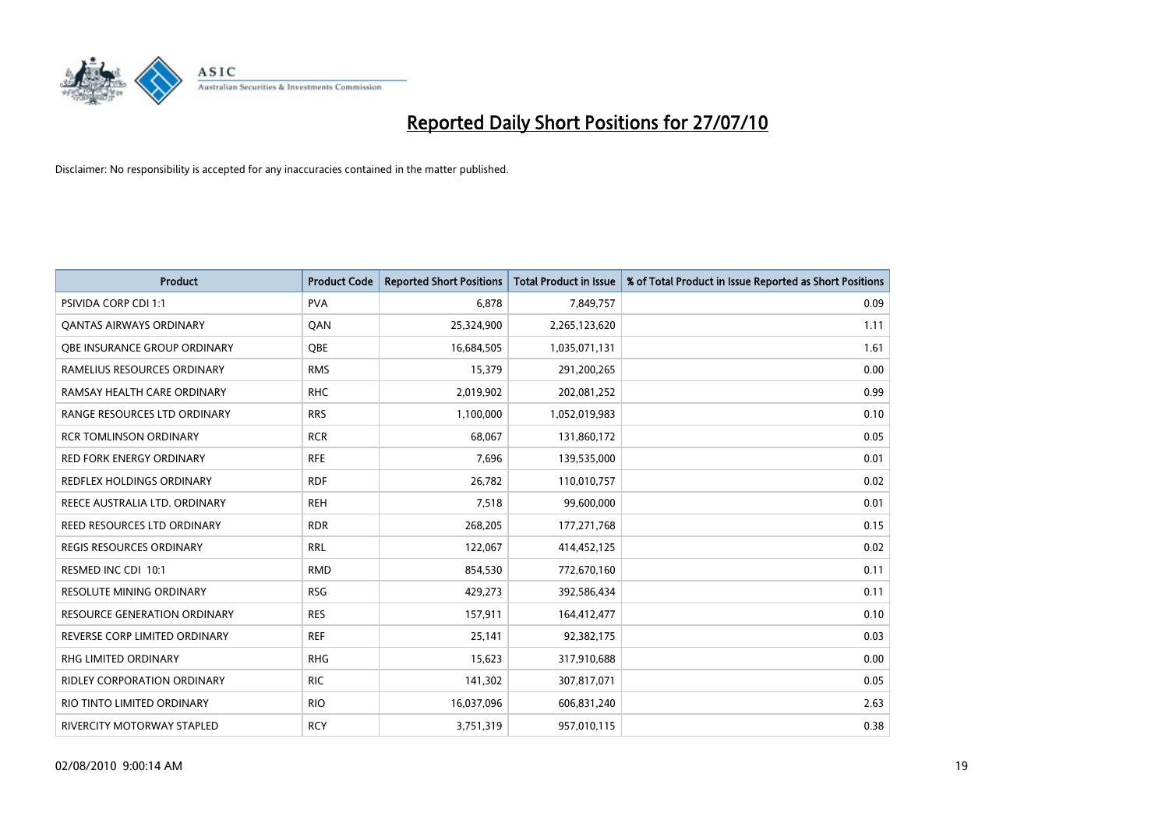

| <b>Product</b>                      | <b>Product Code</b> | <b>Reported Short Positions</b> | <b>Total Product in Issue</b> | % of Total Product in Issue Reported as Short Positions |
|-------------------------------------|---------------------|---------------------------------|-------------------------------|---------------------------------------------------------|
| <b>PSIVIDA CORP CDI 1:1</b>         | <b>PVA</b>          | 6.878                           | 7,849,757                     | 0.09                                                    |
| <b>QANTAS AIRWAYS ORDINARY</b>      | QAN                 | 25,324,900                      | 2,265,123,620                 | 1.11                                                    |
| OBE INSURANCE GROUP ORDINARY        | OBE                 | 16,684,505                      | 1,035,071,131                 | 1.61                                                    |
| RAMELIUS RESOURCES ORDINARY         | <b>RMS</b>          | 15,379                          | 291,200,265                   | 0.00                                                    |
| RAMSAY HEALTH CARE ORDINARY         | <b>RHC</b>          | 2,019,902                       | 202,081,252                   | 0.99                                                    |
| RANGE RESOURCES LTD ORDINARY        | <b>RRS</b>          | 1,100,000                       | 1,052,019,983                 | 0.10                                                    |
| <b>RCR TOMLINSON ORDINARY</b>       | <b>RCR</b>          | 68.067                          | 131,860,172                   | 0.05                                                    |
| <b>RED FORK ENERGY ORDINARY</b>     | <b>RFE</b>          | 7,696                           | 139,535,000                   | 0.01                                                    |
| <b>REDFLEX HOLDINGS ORDINARY</b>    | <b>RDF</b>          | 26,782                          | 110,010,757                   | 0.02                                                    |
| REECE AUSTRALIA LTD. ORDINARY       | <b>REH</b>          | 7,518                           | 99,600,000                    | 0.01                                                    |
| REED RESOURCES LTD ORDINARY         | <b>RDR</b>          | 268,205                         | 177,271,768                   | 0.15                                                    |
| REGIS RESOURCES ORDINARY            | <b>RRL</b>          | 122,067                         | 414,452,125                   | 0.02                                                    |
| RESMED INC CDI 10:1                 | <b>RMD</b>          | 854,530                         | 772,670,160                   | 0.11                                                    |
| <b>RESOLUTE MINING ORDINARY</b>     | <b>RSG</b>          | 429,273                         | 392,586,434                   | 0.11                                                    |
| <b>RESOURCE GENERATION ORDINARY</b> | <b>RES</b>          | 157,911                         | 164,412,477                   | 0.10                                                    |
| REVERSE CORP LIMITED ORDINARY       | <b>REF</b>          | 25,141                          | 92,382,175                    | 0.03                                                    |
| RHG LIMITED ORDINARY                | <b>RHG</b>          | 15,623                          | 317,910,688                   | 0.00                                                    |
| <b>RIDLEY CORPORATION ORDINARY</b>  | <b>RIC</b>          | 141,302                         | 307,817,071                   | 0.05                                                    |
| RIO TINTO LIMITED ORDINARY          | <b>RIO</b>          | 16,037,096                      | 606,831,240                   | 2.63                                                    |
| RIVERCITY MOTORWAY STAPLED          | <b>RCY</b>          | 3,751,319                       | 957,010,115                   | 0.38                                                    |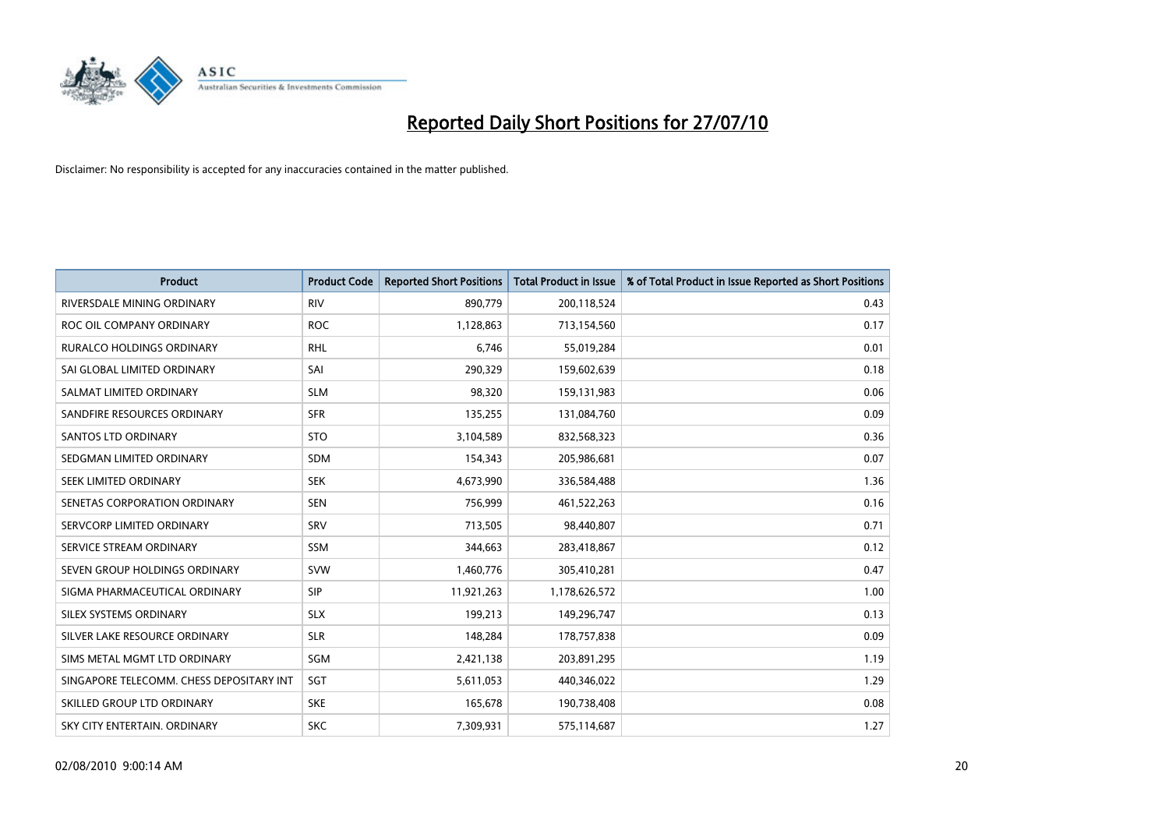

| <b>Product</b>                           | <b>Product Code</b> | <b>Reported Short Positions</b> | <b>Total Product in Issue</b> | % of Total Product in Issue Reported as Short Positions |
|------------------------------------------|---------------------|---------------------------------|-------------------------------|---------------------------------------------------------|
| RIVERSDALE MINING ORDINARY               | <b>RIV</b>          | 890,779                         | 200,118,524                   | 0.43                                                    |
| ROC OIL COMPANY ORDINARY                 | <b>ROC</b>          | 1,128,863                       | 713,154,560                   | 0.17                                                    |
| <b>RURALCO HOLDINGS ORDINARY</b>         | <b>RHL</b>          | 6,746                           | 55,019,284                    | 0.01                                                    |
| SAI GLOBAL LIMITED ORDINARY              | SAI                 | 290,329                         | 159,602,639                   | 0.18                                                    |
| SALMAT LIMITED ORDINARY                  | <b>SLM</b>          | 98,320                          | 159,131,983                   | 0.06                                                    |
| SANDFIRE RESOURCES ORDINARY              | <b>SFR</b>          | 135,255                         | 131,084,760                   | 0.09                                                    |
| <b>SANTOS LTD ORDINARY</b>               | <b>STO</b>          | 3,104,589                       | 832,568,323                   | 0.36                                                    |
| SEDGMAN LIMITED ORDINARY                 | <b>SDM</b>          | 154,343                         | 205,986,681                   | 0.07                                                    |
| SEEK LIMITED ORDINARY                    | <b>SEK</b>          | 4,673,990                       | 336,584,488                   | 1.36                                                    |
| SENETAS CORPORATION ORDINARY             | <b>SEN</b>          | 756,999                         | 461,522,263                   | 0.16                                                    |
| SERVCORP LIMITED ORDINARY                | SRV                 | 713,505                         | 98,440,807                    | 0.71                                                    |
| SERVICE STREAM ORDINARY                  | <b>SSM</b>          | 344,663                         | 283,418,867                   | 0.12                                                    |
| SEVEN GROUP HOLDINGS ORDINARY            | <b>SVW</b>          | 1,460,776                       | 305,410,281                   | 0.47                                                    |
| SIGMA PHARMACEUTICAL ORDINARY            | SIP                 | 11,921,263                      | 1,178,626,572                 | 1.00                                                    |
| SILEX SYSTEMS ORDINARY                   | <b>SLX</b>          | 199,213                         | 149,296,747                   | 0.13                                                    |
| SILVER LAKE RESOURCE ORDINARY            | <b>SLR</b>          | 148,284                         | 178,757,838                   | 0.09                                                    |
| SIMS METAL MGMT LTD ORDINARY             | SGM                 | 2,421,138                       | 203,891,295                   | 1.19                                                    |
| SINGAPORE TELECOMM. CHESS DEPOSITARY INT | SGT                 | 5,611,053                       | 440,346,022                   | 1.29                                                    |
| SKILLED GROUP LTD ORDINARY               | <b>SKE</b>          | 165,678                         | 190,738,408                   | 0.08                                                    |
| SKY CITY ENTERTAIN. ORDINARY             | <b>SKC</b>          | 7,309,931                       | 575,114,687                   | 1.27                                                    |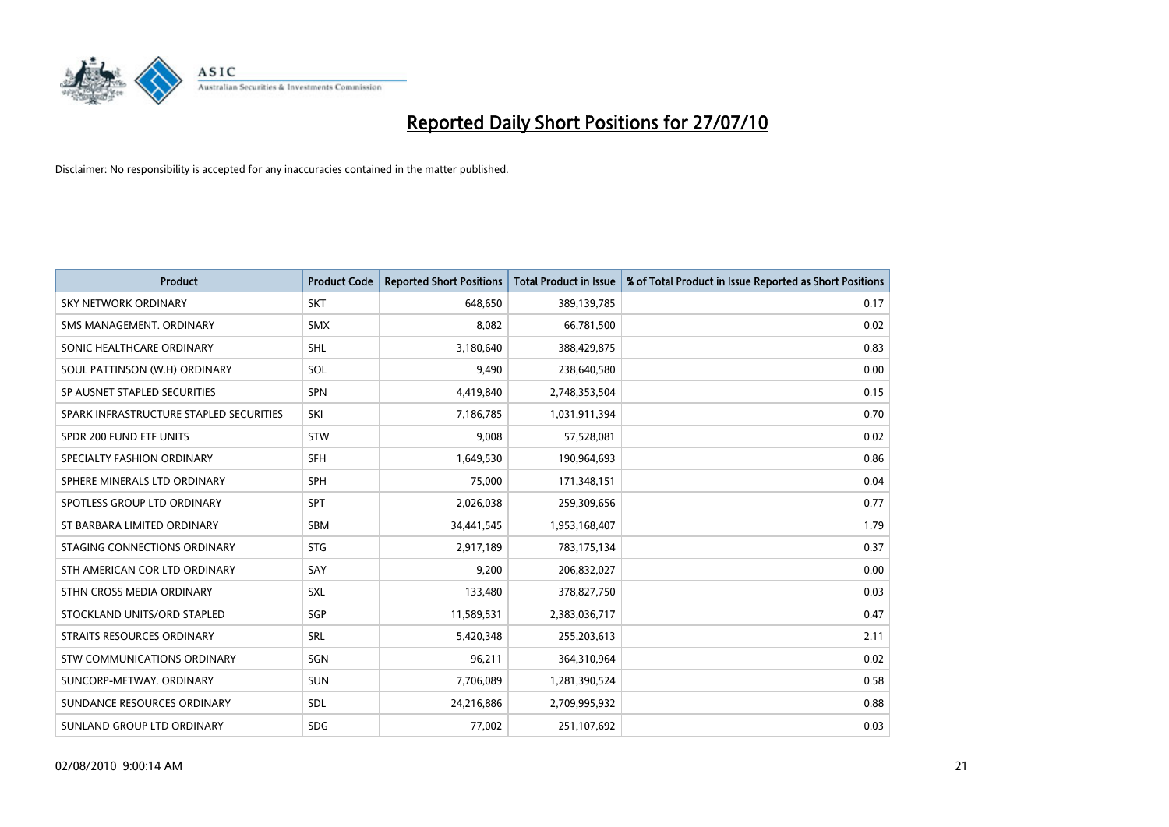

| <b>Product</b>                          | <b>Product Code</b> | <b>Reported Short Positions</b> | <b>Total Product in Issue</b> | % of Total Product in Issue Reported as Short Positions |
|-----------------------------------------|---------------------|---------------------------------|-------------------------------|---------------------------------------------------------|
| <b>SKY NETWORK ORDINARY</b>             | <b>SKT</b>          | 648.650                         | 389,139,785                   | 0.17                                                    |
| SMS MANAGEMENT. ORDINARY                | <b>SMX</b>          | 8,082                           | 66,781,500                    | 0.02                                                    |
| SONIC HEALTHCARE ORDINARY               | <b>SHL</b>          | 3,180,640                       | 388,429,875                   | 0.83                                                    |
| SOUL PATTINSON (W.H) ORDINARY           | SOL                 | 9,490                           | 238,640,580                   | 0.00                                                    |
| SP AUSNET STAPLED SECURITIES            | SPN                 | 4,419,840                       | 2,748,353,504                 | 0.15                                                    |
| SPARK INFRASTRUCTURE STAPLED SECURITIES | SKI                 | 7,186,785                       | 1,031,911,394                 | 0.70                                                    |
| SPDR 200 FUND ETF UNITS                 | STW                 | 9,008                           | 57,528,081                    | 0.02                                                    |
| SPECIALTY FASHION ORDINARY              | <b>SFH</b>          | 1,649,530                       | 190,964,693                   | 0.86                                                    |
| SPHERE MINERALS LTD ORDINARY            | <b>SPH</b>          | 75,000                          | 171,348,151                   | 0.04                                                    |
| SPOTLESS GROUP LTD ORDINARY             | <b>SPT</b>          | 2,026,038                       | 259,309,656                   | 0.77                                                    |
| ST BARBARA LIMITED ORDINARY             | <b>SBM</b>          | 34,441,545                      | 1,953,168,407                 | 1.79                                                    |
| STAGING CONNECTIONS ORDINARY            | <b>STG</b>          | 2,917,189                       | 783,175,134                   | 0.37                                                    |
| STH AMERICAN COR LTD ORDINARY           | SAY                 | 9,200                           | 206,832,027                   | 0.00                                                    |
| STHN CROSS MEDIA ORDINARY               | <b>SXL</b>          | 133,480                         | 378,827,750                   | 0.03                                                    |
| STOCKLAND UNITS/ORD STAPLED             | SGP                 | 11,589,531                      | 2,383,036,717                 | 0.47                                                    |
| STRAITS RESOURCES ORDINARY              | SRL                 | 5,420,348                       | 255,203,613                   | 2.11                                                    |
| STW COMMUNICATIONS ORDINARY             | SGN                 | 96,211                          | 364,310,964                   | 0.02                                                    |
| SUNCORP-METWAY, ORDINARY                | <b>SUN</b>          | 7,706,089                       | 1,281,390,524                 | 0.58                                                    |
| SUNDANCE RESOURCES ORDINARY             | <b>SDL</b>          | 24,216,886                      | 2,709,995,932                 | 0.88                                                    |
| SUNLAND GROUP LTD ORDINARY              | <b>SDG</b>          | 77,002                          | 251,107,692                   | 0.03                                                    |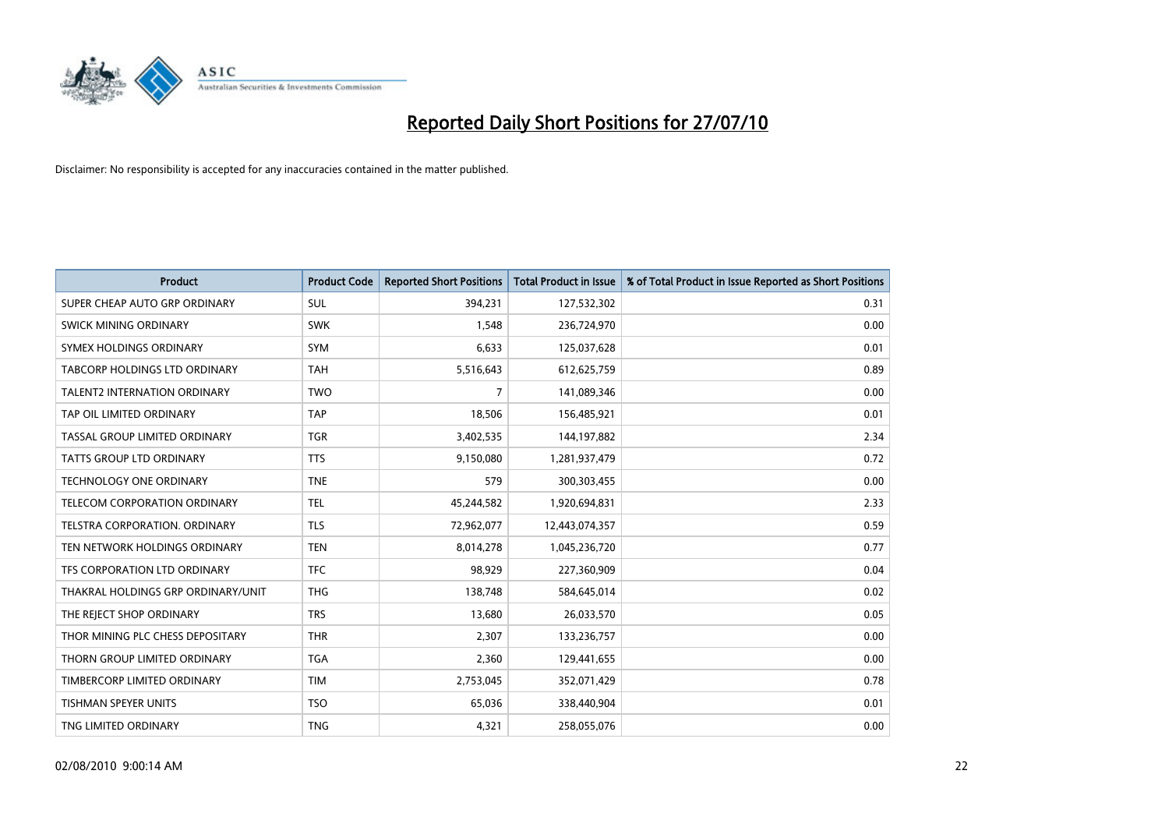

| <b>Product</b>                      | <b>Product Code</b> | <b>Reported Short Positions</b> | <b>Total Product in Issue</b> | % of Total Product in Issue Reported as Short Positions |
|-------------------------------------|---------------------|---------------------------------|-------------------------------|---------------------------------------------------------|
| SUPER CHEAP AUTO GRP ORDINARY       | <b>SUL</b>          | 394,231                         | 127,532,302                   | 0.31                                                    |
| SWICK MINING ORDINARY               | <b>SWK</b>          | 1,548                           | 236,724,970                   | 0.00                                                    |
| SYMEX HOLDINGS ORDINARY             | SYM                 | 6,633                           | 125,037,628                   | 0.01                                                    |
| TABCORP HOLDINGS LTD ORDINARY       | <b>TAH</b>          | 5,516,643                       | 612,625,759                   | 0.89                                                    |
| <b>TALENT2 INTERNATION ORDINARY</b> | <b>TWO</b>          | 7                               | 141,089,346                   | 0.00                                                    |
| TAP OIL LIMITED ORDINARY            | <b>TAP</b>          | 18,506                          | 156,485,921                   | 0.01                                                    |
| TASSAL GROUP LIMITED ORDINARY       | <b>TGR</b>          | 3,402,535                       | 144,197,882                   | 2.34                                                    |
| TATTS GROUP LTD ORDINARY            | <b>TTS</b>          | 9,150,080                       | 1,281,937,479                 | 0.72                                                    |
| <b>TECHNOLOGY ONE ORDINARY</b>      | <b>TNE</b>          | 579                             | 300,303,455                   | 0.00                                                    |
| TELECOM CORPORATION ORDINARY        | <b>TEL</b>          | 45,244,582                      | 1,920,694,831                 | 2.33                                                    |
| TELSTRA CORPORATION. ORDINARY       | <b>TLS</b>          | 72,962,077                      | 12,443,074,357                | 0.59                                                    |
| TEN NETWORK HOLDINGS ORDINARY       | <b>TEN</b>          | 8,014,278                       | 1,045,236,720                 | 0.77                                                    |
| TFS CORPORATION LTD ORDINARY        | <b>TFC</b>          | 98,929                          | 227,360,909                   | 0.04                                                    |
| THAKRAL HOLDINGS GRP ORDINARY/UNIT  | <b>THG</b>          | 138,748                         | 584,645,014                   | 0.02                                                    |
| THE REJECT SHOP ORDINARY            | <b>TRS</b>          | 13,680                          | 26,033,570                    | 0.05                                                    |
| THOR MINING PLC CHESS DEPOSITARY    | <b>THR</b>          | 2,307                           | 133,236,757                   | 0.00                                                    |
| THORN GROUP LIMITED ORDINARY        | <b>TGA</b>          | 2,360                           | 129,441,655                   | 0.00                                                    |
| TIMBERCORP LIMITED ORDINARY         | <b>TIM</b>          | 2,753,045                       | 352,071,429                   | 0.78                                                    |
| <b>TISHMAN SPEYER UNITS</b>         | <b>TSO</b>          | 65,036                          | 338,440,904                   | 0.01                                                    |
| TNG LIMITED ORDINARY                | <b>TNG</b>          | 4,321                           | 258,055,076                   | 0.00                                                    |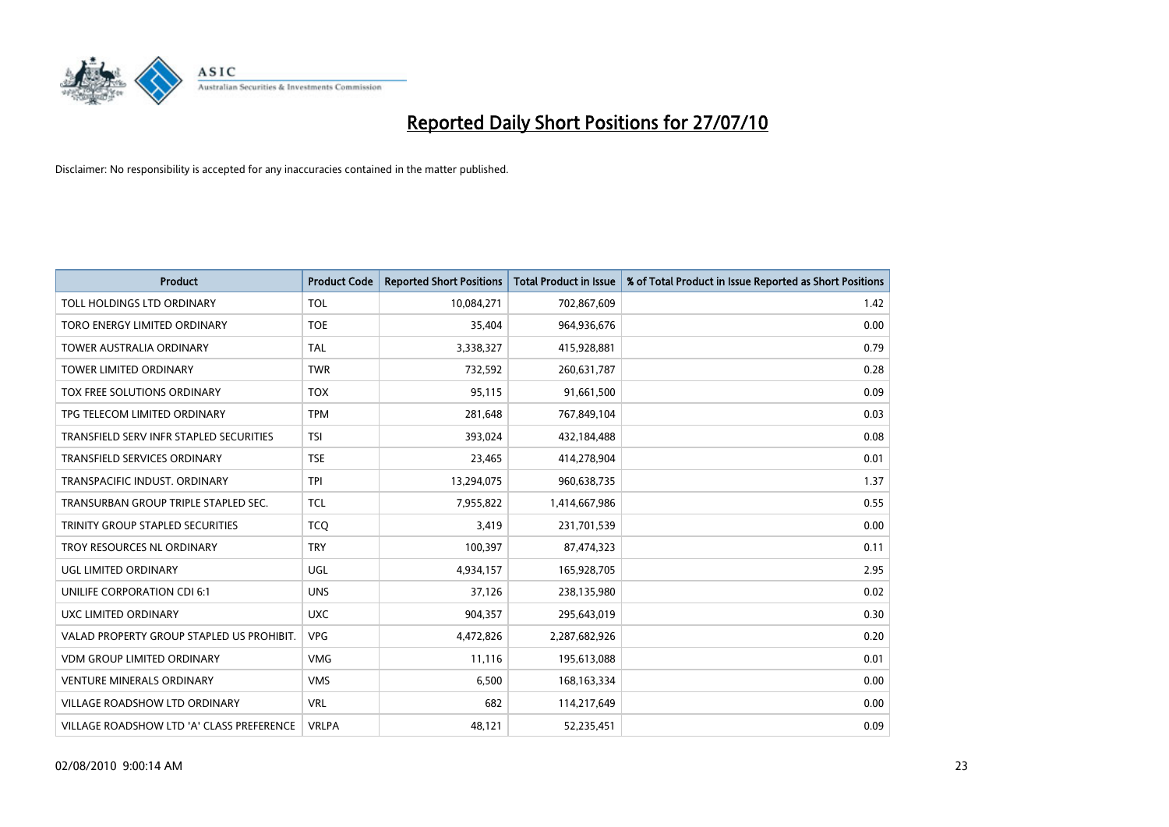

| <b>Product</b>                            | <b>Product Code</b> | <b>Reported Short Positions</b> | Total Product in Issue | % of Total Product in Issue Reported as Short Positions |
|-------------------------------------------|---------------------|---------------------------------|------------------------|---------------------------------------------------------|
| TOLL HOLDINGS LTD ORDINARY                | <b>TOL</b>          | 10,084,271                      | 702,867,609            | 1.42                                                    |
| TORO ENERGY LIMITED ORDINARY              | <b>TOE</b>          | 35,404                          | 964,936,676            | 0.00                                                    |
| <b>TOWER AUSTRALIA ORDINARY</b>           | <b>TAL</b>          | 3,338,327                       | 415,928,881            | 0.79                                                    |
| TOWER LIMITED ORDINARY                    | <b>TWR</b>          | 732,592                         | 260,631,787            | 0.28                                                    |
| TOX FREE SOLUTIONS ORDINARY               | <b>TOX</b>          | 95,115                          | 91,661,500             | 0.09                                                    |
| TPG TELECOM LIMITED ORDINARY              | <b>TPM</b>          | 281,648                         | 767,849,104            | 0.03                                                    |
| TRANSFIELD SERV INFR STAPLED SECURITIES   | <b>TSI</b>          | 393,024                         | 432,184,488            | 0.08                                                    |
| TRANSFIELD SERVICES ORDINARY              | <b>TSE</b>          | 23,465                          | 414,278,904            | 0.01                                                    |
| TRANSPACIFIC INDUST. ORDINARY             | <b>TPI</b>          | 13,294,075                      | 960,638,735            | 1.37                                                    |
| TRANSURBAN GROUP TRIPLE STAPLED SEC.      | <b>TCL</b>          | 7,955,822                       | 1,414,667,986          | 0.55                                                    |
| TRINITY GROUP STAPLED SECURITIES          | <b>TCQ</b>          | 3,419                           | 231,701,539            | 0.00                                                    |
| TROY RESOURCES NL ORDINARY                | <b>TRY</b>          | 100,397                         | 87,474,323             | 0.11                                                    |
| UGL LIMITED ORDINARY                      | UGL                 | 4,934,157                       | 165,928,705            | 2.95                                                    |
| <b>UNILIFE CORPORATION CDI 6:1</b>        | <b>UNS</b>          | 37,126                          | 238,135,980            | 0.02                                                    |
| UXC LIMITED ORDINARY                      | <b>UXC</b>          | 904,357                         | 295,643,019            | 0.30                                                    |
| VALAD PROPERTY GROUP STAPLED US PROHIBIT. | <b>VPG</b>          | 4,472,826                       | 2,287,682,926          | 0.20                                                    |
| <b>VDM GROUP LIMITED ORDINARY</b>         | <b>VMG</b>          | 11,116                          | 195,613,088            | 0.01                                                    |
| <b>VENTURE MINERALS ORDINARY</b>          | <b>VMS</b>          | 6,500                           | 168, 163, 334          | 0.00                                                    |
| <b>VILLAGE ROADSHOW LTD ORDINARY</b>      | <b>VRL</b>          | 682                             | 114,217,649            | 0.00                                                    |
| VILLAGE ROADSHOW LTD 'A' CLASS PREFERENCE | <b>VRLPA</b>        | 48,121                          | 52,235,451             | 0.09                                                    |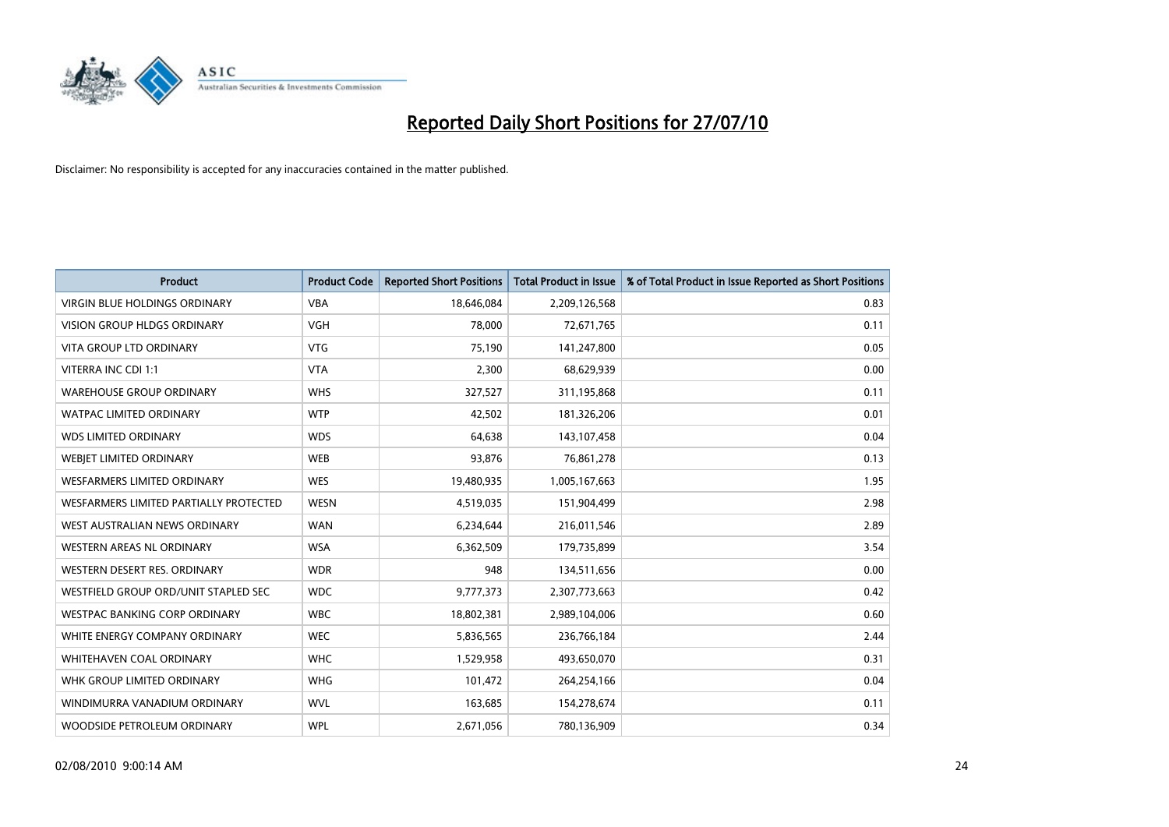

| <b>Product</b>                         | <b>Product Code</b> | <b>Reported Short Positions</b> | <b>Total Product in Issue</b> | % of Total Product in Issue Reported as Short Positions |
|----------------------------------------|---------------------|---------------------------------|-------------------------------|---------------------------------------------------------|
| <b>VIRGIN BLUE HOLDINGS ORDINARY</b>   | <b>VBA</b>          | 18,646,084                      | 2,209,126,568                 | 0.83                                                    |
| VISION GROUP HLDGS ORDINARY            | <b>VGH</b>          | 78,000                          | 72,671,765                    | 0.11                                                    |
| <b>VITA GROUP LTD ORDINARY</b>         | <b>VTG</b>          | 75,190                          | 141,247,800                   | 0.05                                                    |
| VITERRA INC CDI 1:1                    | <b>VTA</b>          | 2,300                           | 68,629,939                    | 0.00                                                    |
| <b>WAREHOUSE GROUP ORDINARY</b>        | <b>WHS</b>          | 327,527                         | 311,195,868                   | 0.11                                                    |
| <b>WATPAC LIMITED ORDINARY</b>         | <b>WTP</b>          | 42,502                          | 181,326,206                   | 0.01                                                    |
| <b>WDS LIMITED ORDINARY</b>            | <b>WDS</b>          | 64,638                          | 143,107,458                   | 0.04                                                    |
| WEBJET LIMITED ORDINARY                | <b>WEB</b>          | 93,876                          | 76,861,278                    | 0.13                                                    |
| <b>WESFARMERS LIMITED ORDINARY</b>     | <b>WES</b>          | 19,480,935                      | 1,005,167,663                 | 1.95                                                    |
| WESFARMERS LIMITED PARTIALLY PROTECTED | <b>WESN</b>         | 4,519,035                       | 151,904,499                   | 2.98                                                    |
| WEST AUSTRALIAN NEWS ORDINARY          | <b>WAN</b>          | 6,234,644                       | 216,011,546                   | 2.89                                                    |
| <b>WESTERN AREAS NL ORDINARY</b>       | <b>WSA</b>          | 6,362,509                       | 179,735,899                   | 3.54                                                    |
| WESTERN DESERT RES. ORDINARY           | <b>WDR</b>          | 948                             | 134,511,656                   | 0.00                                                    |
| WESTFIELD GROUP ORD/UNIT STAPLED SEC   | <b>WDC</b>          | 9,777,373                       | 2,307,773,663                 | 0.42                                                    |
| <b>WESTPAC BANKING CORP ORDINARY</b>   | <b>WBC</b>          | 18,802,381                      | 2,989,104,006                 | 0.60                                                    |
| WHITE ENERGY COMPANY ORDINARY          | <b>WEC</b>          | 5,836,565                       | 236,766,184                   | 2.44                                                    |
| WHITEHAVEN COAL ORDINARY               | <b>WHC</b>          | 1,529,958                       | 493,650,070                   | 0.31                                                    |
| WHK GROUP LIMITED ORDINARY             | <b>WHG</b>          | 101,472                         | 264,254,166                   | 0.04                                                    |
| WINDIMURRA VANADIUM ORDINARY           | <b>WVL</b>          | 163,685                         | 154,278,674                   | 0.11                                                    |
| WOODSIDE PETROLEUM ORDINARY            | <b>WPL</b>          | 2,671,056                       | 780,136,909                   | 0.34                                                    |